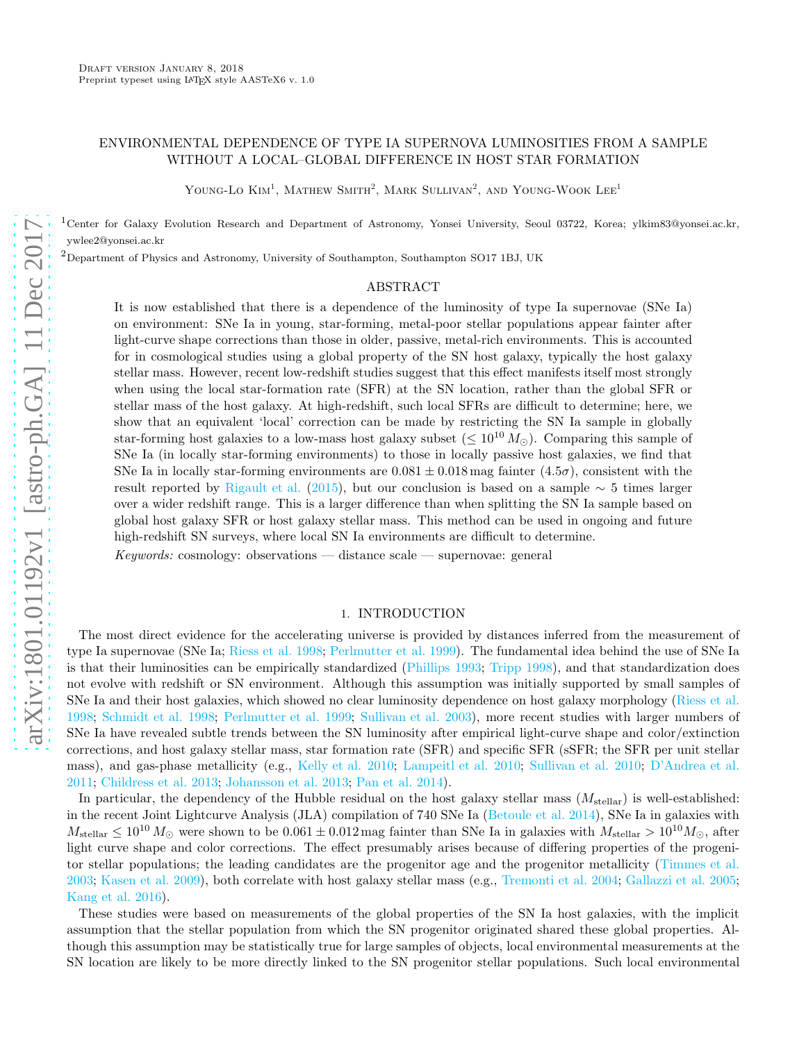# ENVIRONMENTAL DEPENDENCE OF TYPE IA SUPERNOVA LUMINOSITIES FROM A SAMPLE WITHOUT A LOCAL–GLOBAL DIFFERENCE IN HOST STAR FORMATION

YOUNG-LO  $\mathrm{Kim}^1$ , Mathew Smith<sup>2</sup>, Mark Sullivan<sup>2</sup>, and Young-Wook Lee<sup>1</sup>

<sup>1</sup>Center for Galaxy Evolution Research and Department of Astronomy, Yonsei University, Seoul 03722, Korea; ylkim83@yonsei.ac.kr, ywlee2@yonsei.ac.kr

 $^2$ Department of Physics and Astronomy, University of Southampton, Southampton SO17 1BJ, UK

#### ABSTRACT

It is now established that there is a dependence of the luminosity of type Ia supernovae (SNe Ia) on environment: SNe Ia in young, star-forming, metal-poor stellar populations appear fainter after light-curve shape corrections than those in older, passive, metal-rich environments. This is accounted for in cosmological studies using a global property of the SN host galaxy, typically the host galaxy stellar mass. However, recent low-redshift studies suggest that this effect manifests itself most strongly when using the local star-formation rate (SFR) at the SN location, rather than the global SFR or stellar mass of the host galaxy. At high-redshift, such local SFRs are difficult to determine; here, we show that an equivalent 'local' correction can be made by restricting the SN Ia sample in globally star-forming host galaxies to a low-mass host galaxy subset ( $\leq 10^{10} M_{\odot}$ ). Comparing this sample of SNe Ia (in locally star-forming environments) to those in locally passive host galaxies, we find that SNe Ia in locally star-forming environments are  $0.081 \pm 0.018$  mag fainter  $(4.5\sigma)$ , consistent with the result reported by [Rigault et al.](#page-5-0) [\(2015\)](#page-5-0), but our conclusion is based on a sample  $\sim 5$  times larger over a wider redshift range. This is a larger difference than when splitting the SN Ia sample based on global host galaxy SFR or host galaxy stellar mass. This method can be used in ongoing and future high-redshift SN surveys, where local SN Ia environments are difficult to determine.

Keywords: cosmology: observations — distance scale — supernovae: general

## 1. INTRODUCTION

<span id="page-0-0"></span>The most direct evidence for the accelerating universe is provided by distances inferred from the measurement of type Ia supernovae (SNe Ia; [Riess et al. 1998;](#page-5-1) [Perlmutter et al. 1999\)](#page-5-2). The fundamental idea behind the use of SNe Ia is that their luminosities can be empirically standardized [\(Phillips 1993;](#page-5-3) [Tripp 1998\)](#page-5-4), and that standardization does not evolve with redshift or SN environment. Although this assumption was initially supported by small samples of SNe Ia and their host galaxies, which showed no clear luminosity dependence on host galaxy morphology [\(Riess et al.](#page-5-1) [1998;](#page-5-1) [Schmidt et al. 1998;](#page-5-5) [Perlmutter et al. 1999;](#page-5-2) [Sullivan et al. 2003](#page-5-6)), more recent studies with larger numbers of SNe Ia have revealed subtle trends between the SN luminosity after empirical light-curve shape and color/extinction corrections, and host galaxy stellar mass, star formation rate (SFR) and specific SFR (sSFR; the SFR per unit stellar mass), and gas-phase metallicity (e.g., [Kelly et al. 2010](#page-5-7); [Lampeitl et al. 2010;](#page-5-8) [Sullivan et al. 2010](#page-5-9); [D'Andrea et al.](#page-5-10) [2011;](#page-5-10) [Childress et al. 2013;](#page-4-0) [Johansson et al. 2013;](#page-5-11) [Pan et al. 2014\)](#page-5-12).

In particular, the dependency of the Hubble residual on the host galaxy stellar mass  $(M_{\text{stellar}})$  is well-established: in the recent Joint Lightcurve Analysis (JLA) compilation of 740 SNe Ia [\(Betoule et al. 2014\)](#page-4-1), SNe Ia in galaxies with  $M_{\text{stellar}} \leq 10^{10} M_{\odot}$  were shown to be  $0.061 \pm 0.012$  mag fainter than SNe Ia in galaxies with  $M_{\text{stellar}} > 10^{10} M_{\odot}$ , after light curve shape and color corrections. The effect presumably arises because of differing properties of the progenitor stellar populations; the leading candidates are the progenitor age and the progenitor metallicity [\(Timmes et al.](#page-5-13) [2003;](#page-5-13) [Kasen et al. 2009\)](#page-5-14), both correlate with host galaxy stellar mass (e.g., [Tremonti et al. 2004;](#page-5-15) [Gallazzi et al. 2005](#page-5-16); [Kang et al. 2016\)](#page-5-17).

These studies were based on measurements of the global properties of the SN Ia host galaxies, with the implicit assumption that the stellar population from which the SN progenitor originated shared these global properties. Although this assumption may be statistically true for large samples of objects, local environmental measurements at the SN location are likely to be more directly linked to the SN progenitor stellar populations. Such local environmental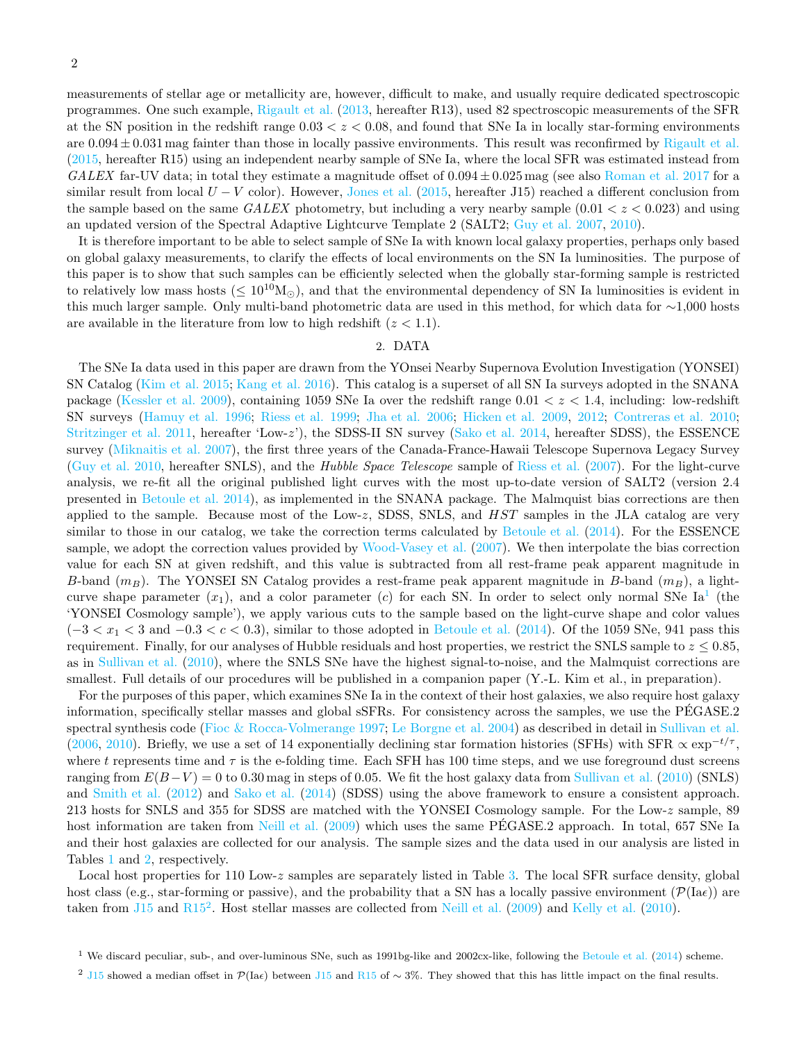measurements of stellar age or metallicity are, however, difficult to make, and usually require dedicated spectroscopic programmes. One such example, [Rigault et al.](#page-5-18) [\(2013](#page-5-18), hereafter R13), used 82 spectroscopic measurements of the SFR at the SN position in the redshift range  $0.03 < z < 0.08$ , and found that SNe Ia in locally star-forming environments are  $0.094 \pm 0.031$  mag fainter than those in locally passive environments. This result was reconfirmed by [Rigault et al.](#page-5-0) [\(2015,](#page-5-0) hereafter R15) using an independent nearby sample of SNe Ia, where the local SFR was estimated instead from GALEX far-UV data; in total they estimate a magnitude offset of  $0.094 \pm 0.025$  mag (see also [Roman et al. 2017](#page-5-19) for a similar result from local  $U - V$  color). However, [Jones et al.](#page-5-20) [\(2015](#page-5-20), hereafter J15) reached a different conclusion from the sample based on the same  $GALEX$  photometry, but including a very nearby sample  $(0.01 < z < 0.023)$  and using an updated version of the Spectral Adaptive Lightcurve Template 2 (SALT2; [Guy et al. 2007,](#page-5-21) [2010\)](#page-5-22).

It is therefore important to be able to select sample of SNe Ia with known local galaxy properties, perhaps only based on global galaxy measurements, to clarify the effects of local environments on the SN Ia luminosities. The purpose of this paper is to show that such samples can be efficiently selected when the globally star-forming sample is restricted to relatively low mass hosts ( $\leq 10^{10}M_{\odot}$ ), and that the environmental dependency of SN Ia luminosities is evident in this much larger sample. Only multi-band photometric data are used in this method, for which data for ∼1,000 hosts are available in the literature from low to high redshift  $(z < 1.1)$ .

# 2. DATA

<span id="page-1-2"></span>The SNe Ia data used in this paper are drawn from the YOnsei Nearby Supernova Evolution Investigation (YONSEI) SN Catalog [\(Kim et al. 2015](#page-5-23); [Kang et al. 2016\)](#page-5-17). This catalog is a superset of all SN Ia surveys adopted in the SNANA package [\(Kessler et al. 2009\)](#page-5-24), containing 1059 SNe Ia over the redshift range  $0.01 < z < 1.4$ , including: low-redshift SN surveys [\(Hamuy et al. 1996;](#page-5-25) [Riess et al. 1999;](#page-5-26) [Jha et al. 2006;](#page-5-27) [Hicken et al. 2009,](#page-5-28) [2012;](#page-5-29) [Contreras et al. 2010](#page-5-30); [Stritzinger et al. 2011,](#page-5-31) hereafter 'Low-z'), the SDSS-II SN survey [\(Sako et al. 2014](#page-5-32), hereafter SDSS), the ESSENCE survey [\(Miknaitis et al. 2007\)](#page-5-33), the first three years of the Canada-France-Hawaii Telescope Supernova Legacy Survey [\(Guy et al. 2010](#page-5-22), hereafter SNLS), and the Hubble Space Telescope sample of [Riess et al.](#page-5-34) [\(2007\)](#page-5-34). For the light-curve analysis, we re-fit all the original published light curves with the most up-to-date version of SALT2 (version 2.4 presented in [Betoule et al. 2014\)](#page-4-1), as implemented in the SNANA package. The Malmquist bias corrections are then applied to the sample. Because most of the Low-z, SDSS, SNLS, and  $HST$  samples in the JLA catalog are very similar to those in our catalog, we take the correction terms calculated by [Betoule et al.](#page-4-1) [\(2014\)](#page-4-1). For the ESSENCE sample, we adopt the correction values provided by [Wood-Vasey et al.](#page-5-35) [\(2007\)](#page-5-35). We then interpolate the bias correction value for each SN at given redshift, and this value is subtracted from all rest-frame peak apparent magnitude in B-band  $(m_B)$ . The YONSEI SN Catalog provides a rest-frame peak apparent magnitude in B-band  $(m_B)$ , a lightcurve shape parameter  $(x_1)$  $(x_1)$  $(x_1)$ , and a color parameter (c) for each SN. In order to select only normal SNe Ia<sup>1</sup> (the 'YONSEI Cosmology sample'), we apply various cuts to the sample based on the light-curve shape and color values  $(-3 < x<sub>1</sub> < 3$  and  $-0.3 < c < 0.3$ ), similar to those adopted in [Betoule et al.](#page-4-1) [\(2014\)](#page-4-1). Of the 1059 SNe, 941 pass this requirement. Finally, for our analyses of Hubble residuals and host properties, we restrict the SNLS sample to  $z \leq 0.85$ , as in [Sullivan et al.](#page-5-9) [\(2010](#page-5-9)), where the SNLS SNe have the highest signal-to-noise, and the Malmquist corrections are smallest. Full details of our procedures will be published in a companion paper (Y.-L. Kim et al., in preparation).

For the purposes of this paper, which examines SNe Ia in the context of their host galaxies, we also require host galaxy information, specifically stellar masses and global sSFRs. For consistency across the samples, we use the PEGASE.2 ´ spectral synthesis code [\(Fioc & Rocca-Volmerange 1997;](#page-5-36) [Le Borgne et al. 2004\)](#page-5-37) as described in detail in [Sullivan et al.](#page-5-38) [\(2006,](#page-5-38) [2010\)](#page-5-9). Briefly, we use a set of 14 exponentially declining star formation histories (SFHs) with SFR  $\propto \exp^{-t/\tau}$ , where t represents time and  $\tau$  is the e-folding time. Each SFH has 100 time steps, and we use foreground dust screens ranging from  $E(B-V) = 0$  to 0.30 mag in steps of 0.05. We fit the host galaxy data from [Sullivan et al.](#page-5-9) [\(2010\)](#page-5-9) (SNLS) and [Smith et al.](#page-5-39) [\(2012](#page-5-39)) and [Sako et al.](#page-5-32) [\(2014\)](#page-5-32) (SDSS) using the above framework to ensure a consistent approach. 213 hosts for SNLS and 355 for SDSS are matched with the YONSEI Cosmology sample. For the Low-z sample, 89 host information are taken from [Neill et al.](#page-5-40) [\(2009\)](#page-5-40) which uses the same PEGASE. 2 approach. In total, 657 SNe Ia and their host galaxies are collected for our analysis. The sample sizes and the data used in our analysis are listed in Tables [1](#page-9-0) and [2,](#page-10-0) respectively.

Local host properties for 110 Low-z samples are separately listed in Table [3.](#page-11-0) The local SFR surface density, global host class (e.g., star-forming or passive), and the probability that a SN has a locally passive environment ( $\mathcal{P}(Ia\epsilon)$ ) are taken from  $J15$  and  $R15^2$  $R15^2$  $R15^2$ . Host stellar masses are collected from [Neill et al.](#page-5-40) [\(2009\)](#page-5-40) and [Kelly et al.](#page-5-7) [\(2010\)](#page-5-7).

<sup>&</sup>lt;sup>1</sup> We discard peculiar, sub-, and over-luminous SNe, such as 1991bg-like and 2002cx-like, following the [Betoule et al.](#page-4-1) [\(2014](#page-4-1)) scheme.

<span id="page-1-1"></span><span id="page-1-0"></span><sup>&</sup>lt;sup>2</sup> [J15](#page-5-20) showed a median offset in  $\mathcal{P}(\text{Ia}\epsilon)$  between J15 and [R15](#page-5-0) of ~ 3%. They showed that this has little impact on the final results.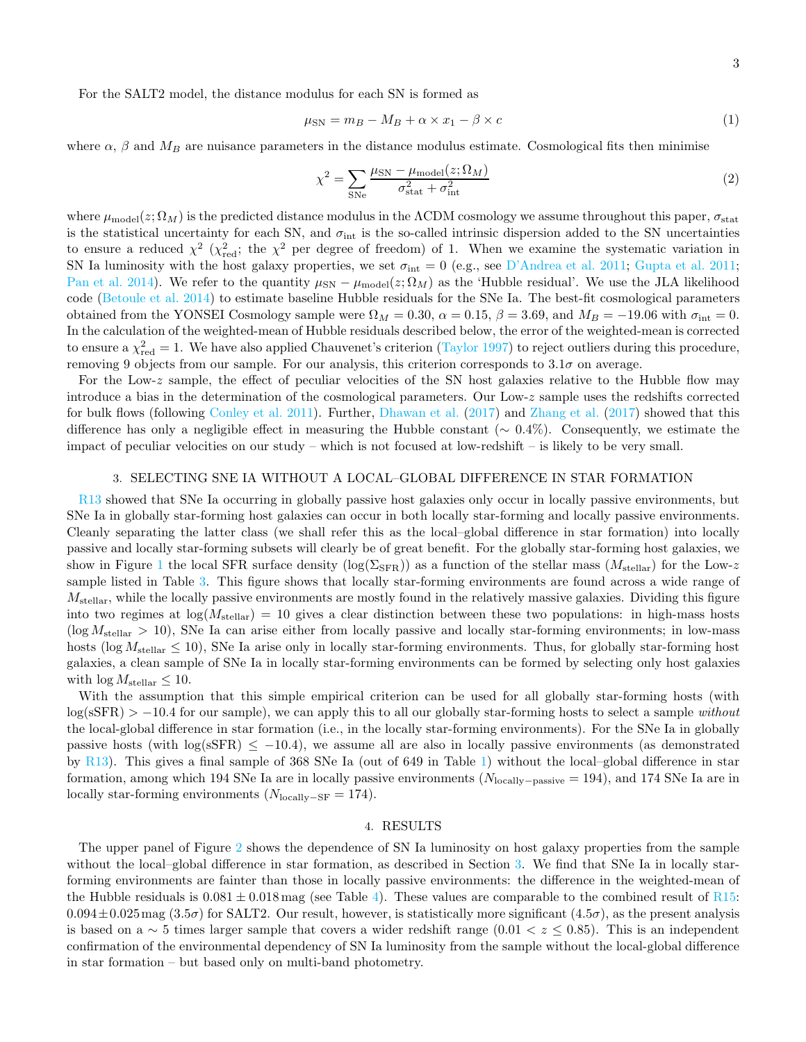For the SALT2 model, the distance modulus for each SN is formed as

$$
\mu_{\rm SN} = m_B - M_B + \alpha \times x_1 - \beta \times c \tag{1}
$$

where  $\alpha$ ,  $\beta$  and  $M_B$  are nuisance parameters in the distance modulus estimate. Cosmological fits then minimise

$$
\chi^2 = \sum_{\text{SNe}} \frac{\mu_{\text{SN}} - \mu_{\text{model}}(z; \Omega_M)}{\sigma_{\text{stat}}^2 + \sigma_{\text{int}}^2} \tag{2}
$$

where  $\mu_{\text{model}}(z; \Omega_M)$  is the predicted distance modulus in the  $\Lambda$ CDM cosmology we assume throughout this paper,  $\sigma_{\text{stat}}$ is the statistical uncertainty for each SN, and  $\sigma_{int}$  is the so-called intrinsic dispersion added to the SN uncertainties to ensure a reduced  $\chi^2$  ( $\chi^2_{\text{red}}$ ; the  $\chi^2$  per degree of freedom) of 1. When we examine the systematic variation in SN Ia luminosity with the host galaxy properties, we set  $\sigma_{int} = 0$  (e.g., see [D'Andrea et al. 2011;](#page-5-10) [Gupta et al. 2011](#page-5-41); [Pan et al. 2014\)](#page-5-12). We refer to the quantity  $\mu_{SN} - \mu_{model}(z; \Omega_M)$  as the 'Hubble residual'. We use the JLA likelihood code [\(Betoule et al. 2014\)](#page-4-1) to estimate baseline Hubble residuals for the SNe Ia. The best-fit cosmological parameters obtained from the YONSEI Cosmology sample were  $\Omega_M = 0.30$ ,  $\alpha = 0.15$ ,  $\beta = 3.69$ , and  $M_B = -19.06$  with  $\sigma_{\text{int}} = 0$ . In the calculation of the weighted-mean of Hubble residuals described below, the error of the weighted-mean is corrected to ensure a  $\chi^2_{\text{red}} = 1$ . We have also applied Chauvenet's criterion [\(Taylor 1997\)](#page-5-42) to reject outliers during this procedure, removing 9 objects from our sample. For our analysis, this criterion corresponds to  $3.1\sigma$  on average.

For the Low-z sample, the effect of peculiar velocities of the SN host galaxies relative to the Hubble flow may introduce a bias in the determination of the cosmological parameters. Our Low-z sample uses the redshifts corrected for bulk flows (following [Conley et al. 2011](#page-5-43)). Further, [Dhawan et al.](#page-5-44) [\(2017](#page-5-44)) and [Zhang et al.](#page-5-45) [\(2017\)](#page-5-45) showed that this difference has only a negligible effect in measuring the Hubble constant (∼ 0.4%). Consequently, we estimate the impact of peculiar velocities on our study – which is not focused at low-redshift – is likely to be very small.

### 3. SELECTING SNE IA WITHOUT A LOCAL–GLOBAL DIFFERENCE IN STAR FORMATION

<span id="page-2-0"></span>[R13](#page-5-18) showed that SNe Ia occurring in globally passive host galaxies only occur in locally passive environments, but SNe Ia in globally star-forming host galaxies can occur in both locally star-forming and locally passive environments. Cleanly separating the latter class (we shall refer this as the local–global difference in star formation) into locally passive and locally star-forming subsets will clearly be of great benefit. For the globally star-forming host galaxies, we show in Figure [1](#page-6-0) the local SFR surface density  $(\log(\Sigma_{\rm SFR}))$  as a function of the stellar mass  $(M_{\rm stellar})$  for the Low-z sample listed in Table [3.](#page-11-0) This figure shows that locally star-forming environments are found across a wide range of  $M_{\text{stellar}}$ , while the locally passive environments are mostly found in the relatively massive galaxies. Dividing this figure into two regimes at  $log(M_{\text{stellar}}) = 10$  gives a clear distinction between these two populations: in high-mass hosts  $(\log M_{\rm stellar} > 10)$ , SNe Ia can arise either from locally passive and locally star-forming environments; in low-mass hosts (log  $M_{\text{stellar}} \leq 10$ ), SNe Ia arise only in locally star-forming environments. Thus, for globally star-forming host galaxies, a clean sample of SNe Ia in locally star-forming environments can be formed by selecting only host galaxies with  $\log M_{\text{stellar}} \leq 10$ .

With the assumption that this simple empirical criterion can be used for all globally star-forming hosts (with  $log(sSFR) > -10.4$  for our sample), we can apply this to all our globally star-forming hosts to select a sample without the local-global difference in star formation (i.e., in the locally star-forming environments). For the SNe Ia in globally passive hosts (with  $\log(\text{sSFR}) \leq -10.4$ ), we assume all are also in locally passive environments (as demonstrated by [R13](#page-5-18)). This gives a final sample of 368 SNe Ia (out of 649 in Table [1\)](#page-9-0) without the local–global difference in star formation, among which 194 SNe Ia are in locally passive environments (Nlocally−passive = 194), and 174 SNe Ia are in locally star-forming environments  $(N_{\text{locally-SF}} = 174)$ .

## 4. RESULTS

The upper panel of Figure [2](#page-7-0) shows the dependence of SN Ia luminosity on host galaxy properties from the sample without the local–global difference in star formation, as described in Section [3.](#page-2-0) We find that SNe Ia in locally starforming environments are fainter than those in locally passive environments: the difference in the weighted-mean of the Hubble residuals is  $0.081 \pm 0.018$  mag (see Table [4\)](#page-14-0). These values are comparable to the combined result of [R15](#page-5-0):  $0.094\pm0.025$  mag  $(3.5\sigma)$  for SALT2. Our result, however, is statistically more significant  $(4.5\sigma)$ , as the present analysis is based on a ∼ 5 times larger sample that covers a wider redshift range  $(0.01 < z \le 0.85)$ . This is an independent confirmation of the environmental dependency of SN Ia luminosity from the sample without the local-global difference in star formation – but based only on multi-band photometry.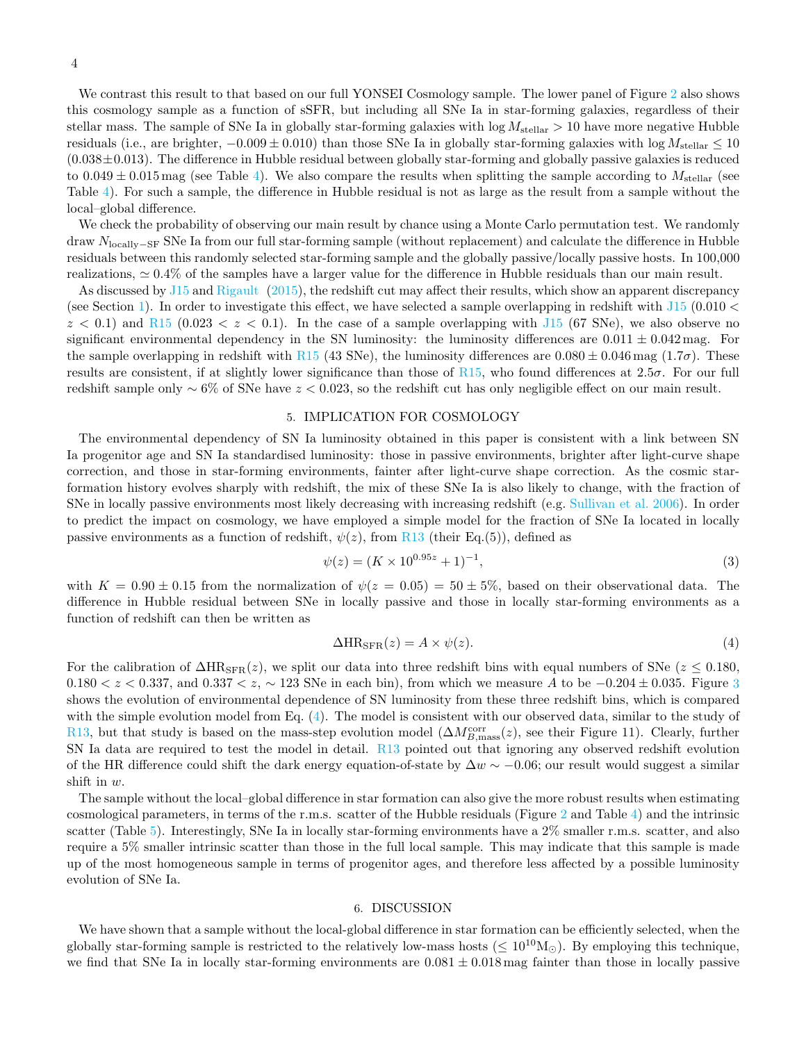4

We contrast this result to that based on our full YONSEI Cosmology sample. The lower panel of Figure [2](#page-7-0) also shows this cosmology sample as a function of sSFR, but including all SNe Ia in star-forming galaxies, regardless of their stellar mass. The sample of SNe Ia in globally star-forming galaxies with  $\log M_{\text{stellar}} > 10$  have more negative Hubble residuals (i.e., are brighter,  $-0.009 \pm 0.010$ ) than those SNe Ia in globally star-forming galaxies with  $\log M_{\text{stellar}} \leq 10$  $(0.038\pm0.013)$ . The difference in Hubble residual between globally star-forming and globally passive galaxies is reduced to  $0.049 \pm 0.015$  mag (see Table [4\)](#page-14-0). We also compare the results when splitting the sample according to  $M_{\text{stellar}}$  (see Table [4\)](#page-14-0). For such a sample, the difference in Hubble residual is not as large as the result from a sample without the local–global difference.

We check the probability of observing our main result by chance using a Monte Carlo permutation test. We randomly draw Nlocally−SF SNe Ia from our full star-forming sample (without replacement) and calculate the difference in Hubble residuals between this randomly selected star-forming sample and the globally passive/locally passive hosts. In 100,000 realizations, ≃ 0.4% of the samples have a larger value for the difference in Hubble residuals than our main result.

As discussed by [J15](#page-5-20) and [Rigault](#page-5-46) [\(2015](#page-5-46)), the redshift cut may affect their results, which show an apparent discrepancy (see Section [1\)](#page-0-0). In order to investigate this effect, we have selected a sample overlapping in redshift with  $115$  (0.010  $<$  $z < 0.1$ ) and [R15](#page-5-0) (0.023  $\lt z < 0.1$ ). In the case of a sample overlapping with [J15](#page-5-20) (67 SNe), we also observe no significant environmental dependency in the SN luminosity: the luminosity differences are  $0.011 \pm 0.042$  mag. For the sample overlapping in redshift with [R15](#page-5-0) (43 SNe), the luminosity differences are  $0.080 \pm 0.046$  mag (1.7 $\sigma$ ). These results are consistent, if at slightly lower significance than those of [R15](#page-5-0), who found differences at 2.5 $\sigma$ . For our full redshift sample only  $\sim 6\%$  of SNe have  $z < 0.023$ , so the redshift cut has only negligible effect on our main result.

## 5. IMPLICATION FOR COSMOLOGY

<span id="page-3-1"></span>The environmental dependency of SN Ia luminosity obtained in this paper is consistent with a link between SN Ia progenitor age and SN Ia standardised luminosity: those in passive environments, brighter after light-curve shape correction, and those in star-forming environments, fainter after light-curve shape correction. As the cosmic starformation history evolves sharply with redshift, the mix of these SNe Ia is also likely to change, with the fraction of SNe in locally passive environments most likely decreasing with increasing redshift (e.g. [Sullivan et al. 2006](#page-5-38)). In order to predict the impact on cosmology, we have employed a simple model for the fraction of SNe Ia located in locally passive environments as a function of redshift,  $\psi(z)$ , from [R13](#page-5-18) (their Eq.(5)), defined as

$$
\psi(z) = (K \times 10^{0.95z} + 1)^{-1},\tag{3}
$$

with  $K = 0.90 \pm 0.15$  from the normalization of  $\psi(z = 0.05) = 50 \pm 5\%$ , based on their observational data. The difference in Hubble residual between SNe in locally passive and those in locally star-forming environments as a function of redshift can then be written as

<span id="page-3-0"></span>
$$
\Delta HR_{\rm SFR}(z) = A \times \psi(z). \tag{4}
$$

For the calibration of  $\Delta HR_{\rm SFR}(z)$ , we split our data into three redshift bins with equal numbers of SNe ( $z \leq 0.180$ ,  $0.180 < z < 0.337$  $0.180 < z < 0.337$  $0.180 < z < 0.337$ , and  $0.337 < z$ ,  $\sim 123$  SNe in each bin), from which we measure A to be  $-0.204 \pm 0.035$ . Figure 3 shows the evolution of environmental dependence of SN luminosity from these three redshift bins, which is compared with the simple evolution model from Eq.  $(4)$ . The model is consistent with our observed data, similar to the study of [R13](#page-5-18), but that study is based on the mass-step evolution model  $(\Delta M_{B,\text{mass}}^{\text{corr}}(z)$ , see their Figure 11). Clearly, further SN Ia data are required to test the model in detail. [R13](#page-5-18) pointed out that ignoring any observed redshift evolution of the HR difference could shift the dark energy equation-of-state by  $\Delta w \sim -0.06$ ; our result would suggest a similar shift in w.

The sample without the local–global difference in star formation can also give the more robust results when estimating cosmological parameters, in terms of the r.m.s. scatter of the Hubble residuals (Figure [2](#page-7-0) and Table [4\)](#page-14-0) and the intrinsic scatter (Table [5\)](#page-15-0). Interestingly, SNe Ia in locally star-forming environments have a 2\% smaller r.m.s. scatter, and also require a 5% smaller intrinsic scatter than those in the full local sample. This may indicate that this sample is made up of the most homogeneous sample in terms of progenitor ages, and therefore less affected by a possible luminosity evolution of SNe Ia.

#### 6. DISCUSSION

We have shown that a sample without the local-global difference in star formation can be efficiently selected, when the globally star-forming sample is restricted to the relatively low-mass hosts ( $\leq 10^{10} M_{\odot}$ ). By employing this technique, we find that SNe Ia in locally star-forming environments are  $0.081 \pm 0.018$  mag fainter than those in locally passive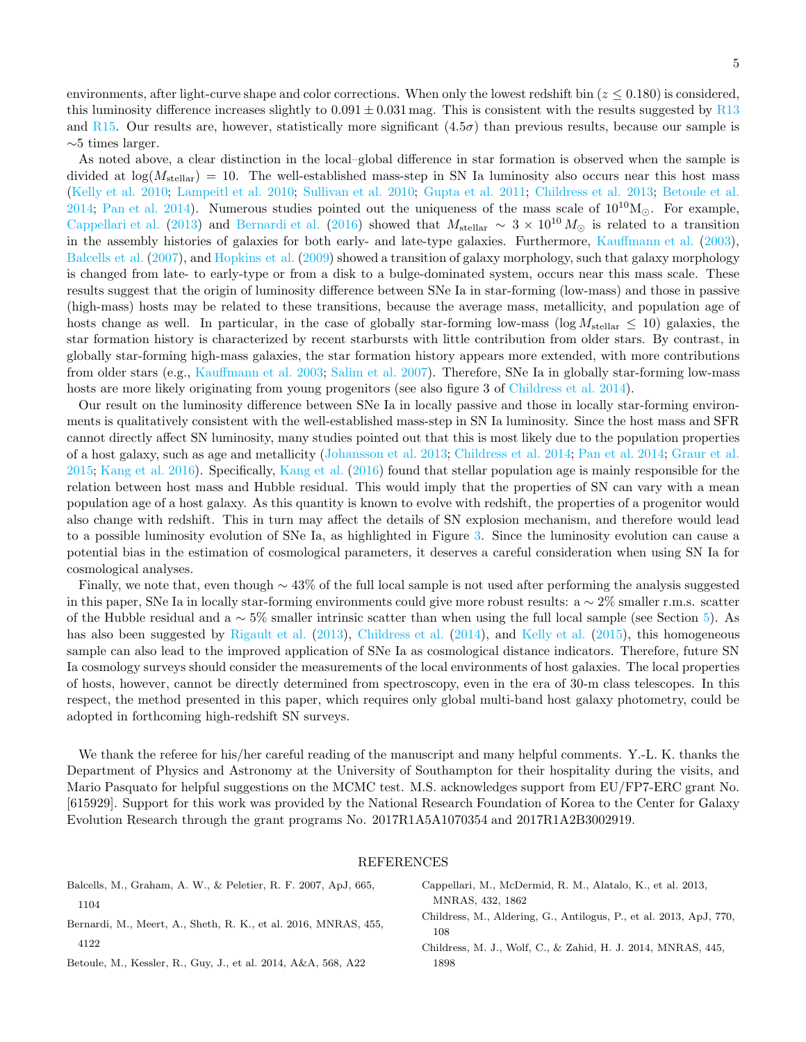environments, after light-curve shape and color corrections. When only the lowest redshift bin  $(z \le 0.180)$  is considered, this luminosity difference increases slightly to  $0.091 \pm 0.031$  mag. This is consistent with the results suggested by [R13](#page-5-18) and [R15.](#page-5-0) Our results are, however, statistically more significant  $(4.5\sigma)$  than previous results, because our sample is ∼5 times larger.

As noted above, a clear distinction in the local–global difference in star formation is observed when the sample is divided at  $\log(M_{\text{stellar}}) = 10$ . The well-established mass-step in SN Ia luminosity also occurs near this host mass [\(Kelly et al. 2010;](#page-5-7) [Lampeitl et al. 2010;](#page-5-8) [Sullivan et al. 2010;](#page-5-9) [Gupta et al. 2011;](#page-5-41) [Childress et al. 2013;](#page-4-0) [Betoule et al.](#page-4-1) [2014;](#page-4-1) [Pan et al. 2014\)](#page-5-12). Numerous studies pointed out the uniqueness of the mass scale of  $10^{10}M_{\odot}$ . For example, [Cappellari et al.](#page-4-2) [\(2013](#page-4-2)) and [Bernardi et al.](#page-4-3) [\(2016\)](#page-4-3) showed that  $M_{\text{stellar}} \sim 3 \times 10^{10} M_{\odot}$  is related to a transition in the assembly histories of galaxies for both early- and late-type galaxies. Furthermore, [Kauffmann et al.](#page-5-47) [\(2003](#page-5-47)), [Balcells et al.](#page-4-4) [\(2007\)](#page-4-4), and [Hopkins et al.](#page-5-48) [\(2009](#page-5-48)) showed a transition of galaxy morphology, such that galaxy morphology is changed from late- to early-type or from a disk to a bulge-dominated system, occurs near this mass scale. These results suggest that the origin of luminosity difference between SNe Ia in star-forming (low-mass) and those in passive (high-mass) hosts may be related to these transitions, because the average mass, metallicity, and population age of hosts change as well. In particular, in the case of globally star-forming low-mass (log  $M_{\text{stellar}} \leq 10$ ) galaxies, the star formation history is characterized by recent starbursts with little contribution from older stars. By contrast, in globally star-forming high-mass galaxies, the star formation history appears more extended, with more contributions from older stars (e.g., [Kauffmann et al. 2003;](#page-5-47) [Salim et al. 2007\)](#page-5-49). Therefore, SNe Ia in globally star-forming low-mass hosts are more likely originating from young progenitors (see also figure 3 of [Childress et al. 2014\)](#page-4-5).

Our result on the luminosity difference between SNe Ia in locally passive and those in locally star-forming environments is qualitatively consistent with the well-established mass-step in SN Ia luminosity. Since the host mass and SFR cannot directly affect SN luminosity, many studies pointed out that this is most likely due to the population properties of a host galaxy, such as age and metallicity [\(Johansson et al. 2013;](#page-5-11) [Childress et al. 2014;](#page-4-5) [Pan et al. 2014;](#page-5-12) [Graur et al.](#page-5-50) [2015;](#page-5-50) [Kang et al. 2016\)](#page-5-17). Specifically, [Kang et al.](#page-5-17) [\(2016](#page-5-17)) found that stellar population age is mainly responsible for the relation between host mass and Hubble residual. This would imply that the properties of SN can vary with a mean population age of a host galaxy. As this quantity is known to evolve with redshift, the properties of a progenitor would also change with redshift. This in turn may affect the details of SN explosion mechanism, and therefore would lead to a possible luminosity evolution of SNe Ia, as highlighted in Figure [3.](#page-8-0) Since the luminosity evolution can cause a potential bias in the estimation of cosmological parameters, it deserves a careful consideration when using SN Ia for cosmological analyses.

Finally, we note that, even though ∼ 43% of the full local sample is not used after performing the analysis suggested in this paper, SNe Ia in locally star-forming environments could give more robust results: a ∼ 2% smaller r.m.s. scatter of the Hubble residual and a  $\sim 5\%$  smaller intrinsic scatter than when using the full local sample (see Section [5\)](#page-3-1). As has also been suggested by [Rigault et al.](#page-5-18) [\(2013\)](#page-5-18), [Childress et al.](#page-4-5) [\(2014\)](#page-4-5), and [Kelly et al.](#page-5-51) [\(2015](#page-5-51)), this homogeneous sample can also lead to the improved application of SNe Ia as cosmological distance indicators. Therefore, future SN Ia cosmology surveys should consider the measurements of the local environments of host galaxies. The local properties of hosts, however, cannot be directly determined from spectroscopy, even in the era of 30-m class telescopes. In this respect, the method presented in this paper, which requires only global multi-band host galaxy photometry, could be adopted in forthcoming high-redshift SN surveys.

We thank the referee for his/her careful reading of the manuscript and many helpful comments. Y.-L. K. thanks the Department of Physics and Astronomy at the University of Southampton for their hospitality during the visits, and Mario Pasquato for helpful suggestions on the MCMC test. M.S. acknowledges support from EU/FP7-ERC grant No. [615929]. Support for this work was provided by the National Research Foundation of Korea to the Center for Galaxy Evolution Research through the grant programs No. 2017R1A5A1070354 and 2017R1A2B3002919.

### <span id="page-4-5"></span><span id="page-4-2"></span><span id="page-4-0"></span>REFERENCES

<span id="page-4-4"></span><span id="page-4-3"></span><span id="page-4-1"></span>

| Balcells, M., Graham, A. W., & Peletier, R. F. 2007, ApJ, 665,  | Cappellari, M., McDermid, R. M., Alatalo, K., et al. 2013,                |
|-----------------------------------------------------------------|---------------------------------------------------------------------------|
| 1104                                                            | MNRAS, 432, 1862                                                          |
| Bernardi, M., Meert, A., Sheth, R. K., et al. 2016, MNRAS, 455, | Childress, M., Aldering, G., Antilogus, P., et al. 2013, ApJ, 770,<br>108 |
| 4122                                                            | Childress, M. J., Wolf, C., & Zahid, H. J. 2014, MNRAS, 445,              |
| Betoule, M., Kessler, R., Guy, J., et al. 2014, A&A, 568, A22   | 1898                                                                      |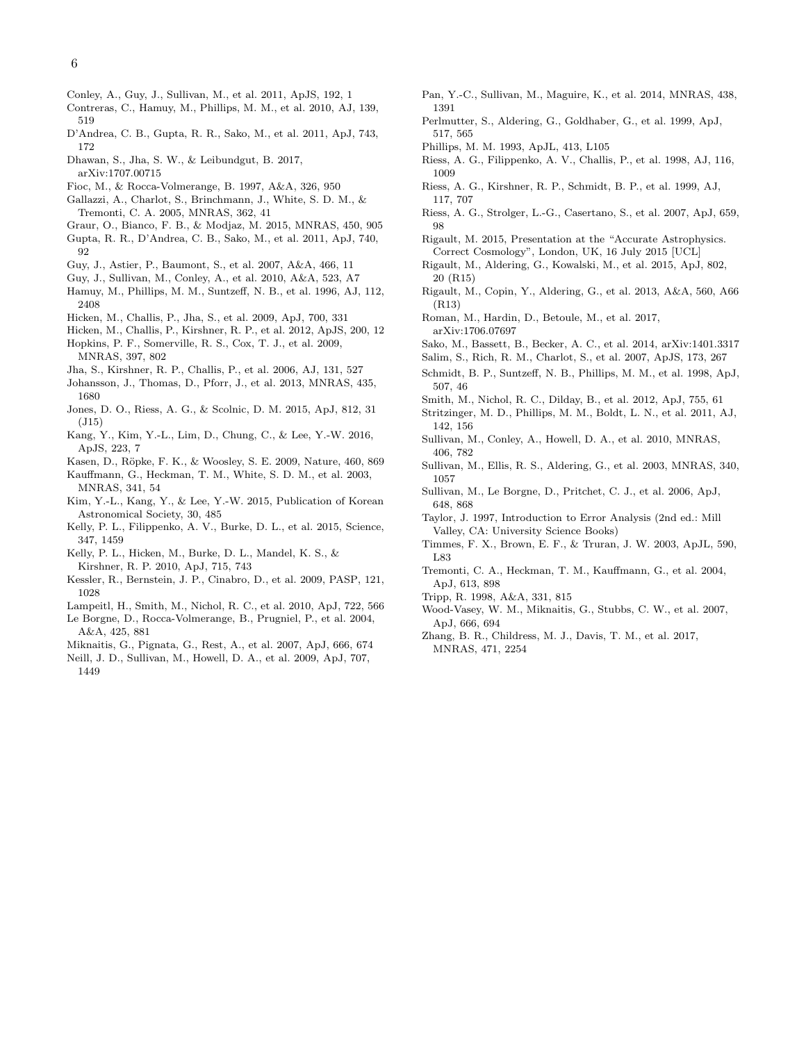- <span id="page-5-43"></span>Conley, A., Guy, J., Sullivan, M., et al. 2011, ApJS, 192, 1
- <span id="page-5-30"></span>Contreras, C., Hamuy, M., Phillips, M. M., et al. 2010, AJ, 139, 519
- <span id="page-5-10"></span>D'Andrea, C. B., Gupta, R. R., Sako, M., et al. 2011, ApJ, 743, 172
- <span id="page-5-44"></span>Dhawan, S., Jha, S. W., & Leibundgut, B. 2017,
- arXiv:1707.00715
- <span id="page-5-36"></span>Fioc, M., & Rocca-Volmerange, B. 1997, A&A, 326, 950
- <span id="page-5-16"></span>Gallazzi, A., Charlot, S., Brinchmann, J., White, S. D. M., & Tremonti, C. A. 2005, MNRAS, 362, 41
- <span id="page-5-50"></span>Graur, O., Bianco, F. B., & Modjaz, M. 2015, MNRAS, 450, 905
- <span id="page-5-41"></span>Gupta, R. R., D'Andrea, C. B., Sako, M., et al. 2011, ApJ, 740, 92
- <span id="page-5-21"></span>Guy, J., Astier, P., Baumont, S., et al. 2007, A&A, 466, 11
- <span id="page-5-22"></span>Guy, J., Sullivan, M., Conley, A., et al. 2010, A&A, 523, A7
- <span id="page-5-25"></span>Hamuy, M., Phillips, M. M., Suntzeff, N. B., et al. 1996, AJ, 112, 2408
- <span id="page-5-28"></span>Hicken, M., Challis, P., Jha, S., et al. 2009, ApJ, 700, 331
- <span id="page-5-29"></span>Hicken, M., Challis, P., Kirshner, R. P., et al. 2012, ApJS, 200, 12
- <span id="page-5-48"></span>Hopkins, P. F., Somerville, R. S., Cox, T. J., et al. 2009, MNRAS, 397, 802
- <span id="page-5-27"></span>Jha, S., Kirshner, R. P., Challis, P., et al. 2006, AJ, 131, 527
- <span id="page-5-11"></span>Johansson, J., Thomas, D., Pforr, J., et al. 2013, MNRAS, 435, 1680
- <span id="page-5-20"></span>Jones, D. O., Riess, A. G., & Scolnic, D. M. 2015, ApJ, 812, 31 (J15)
- <span id="page-5-17"></span>Kang, Y., Kim, Y.-L., Lim, D., Chung, C., & Lee, Y.-W. 2016, ApJS, 223, 7
- <span id="page-5-14"></span>Kasen, D., Röpke, F. K., & Woosley, S. E. 2009, Nature, 460, 869
- <span id="page-5-47"></span>Kauffmann, G., Heckman, T. M., White, S. D. M., et al. 2003, MNRAS, 341, 54
- <span id="page-5-23"></span>Kim, Y.-L., Kang, Y., & Lee, Y.-W. 2015, Publication of Korean Astronomical Society, 30, 485
- <span id="page-5-51"></span>Kelly, P. L., Filippenko, A. V., Burke, D. L., et al. 2015, Science, 347, 1459
- <span id="page-5-7"></span>Kelly, P. L., Hicken, M., Burke, D. L., Mandel, K. S., & Kirshner, R. P. 2010, ApJ, 715, 743
- <span id="page-5-24"></span>Kessler, R., Bernstein, J. P., Cinabro, D., et al. 2009, PASP, 121, 1028
- <span id="page-5-37"></span><span id="page-5-8"></span>Lampeitl, H., Smith, M., Nichol, R. C., et al. 2010, ApJ, 722, 566 Le Borgne, D., Rocca-Volmerange, B., Prugniel, P., et al. 2004, A&A, 425, 881
- <span id="page-5-33"></span>Miknaitis, G., Pignata, G., Rest, A., et al. 2007, ApJ, 666, 674
- <span id="page-5-40"></span>Neill, J. D., Sullivan, M., Howell, D. A., et al. 2009, ApJ, 707, 1449
- <span id="page-5-12"></span>Pan, Y.-C., Sullivan, M., Maguire, K., et al. 2014, MNRAS, 438, 1391
- <span id="page-5-2"></span>Perlmutter, S., Aldering, G., Goldhaber, G., et al. 1999, ApJ, 517, 565
- <span id="page-5-3"></span>Phillips, M. M. 1993, ApJL, 413, L105
- <span id="page-5-1"></span>Riess, A. G., Filippenko, A. V., Challis, P., et al. 1998, AJ, 116, 1009
- <span id="page-5-26"></span>Riess, A. G., Kirshner, R. P., Schmidt, B. P., et al. 1999, AJ, 117, 707
- <span id="page-5-34"></span>Riess, A. G., Strolger, L.-G., Casertano, S., et al. 2007, ApJ, 659, 98
- <span id="page-5-46"></span>Rigault, M. 2015, Presentation at the "Accurate Astrophysics. Correct Cosmology", London, UK, 16 July 2015 [UCL]
- <span id="page-5-0"></span>Rigault, M., Aldering, G., Kowalski, M., et al. 2015, ApJ, 802, 20 (R15)
- <span id="page-5-18"></span>Rigault, M., Copin, Y., Aldering, G., et al. 2013, A&A, 560, A66 (R13)
- <span id="page-5-19"></span>Roman, M., Hardin, D., Betoule, M., et al. 2017, arXiv:1706.07697
- <span id="page-5-32"></span>Sako, M., Bassett, B., Becker, A. C., et al. 2014, arXiv:1401.3317 Salim, S., Rich, R. M., Charlot, S., et al. 2007, ApJS, 173, 267
- <span id="page-5-49"></span>
- <span id="page-5-5"></span>Schmidt, B. P., Suntzeff, N. B., Phillips, M. M., et al. 1998, ApJ, 507, 46
- <span id="page-5-39"></span>Smith, M., Nichol, R. C., Dilday, B., et al. 2012, ApJ, 755, 61
- <span id="page-5-31"></span>Stritzinger, M. D., Phillips, M. M., Boldt, L. N., et al. 2011, AJ, 142, 156
- <span id="page-5-9"></span>Sullivan, M., Conley, A., Howell, D. A., et al. 2010, MNRAS, 406, 782
- <span id="page-5-6"></span>Sullivan, M., Ellis, R. S., Aldering, G., et al. 2003, MNRAS, 340, 1057
- <span id="page-5-38"></span>Sullivan, M., Le Borgne, D., Pritchet, C. J., et al. 2006, ApJ, 648, 868
- <span id="page-5-42"></span>Taylor, J. 1997, Introduction to Error Analysis (2nd ed.: Mill Valley, CA: University Science Books)
- <span id="page-5-13"></span>Timmes, F. X., Brown, E. F., & Truran, J. W. 2003, ApJL, 590, L83
- <span id="page-5-15"></span>Tremonti, C. A., Heckman, T. M., Kauffmann, G., et al. 2004, ApJ, 613, 898
- <span id="page-5-4"></span>Tripp, R. 1998, A&A, 331, 815
- <span id="page-5-35"></span>Wood-Vasey, W. M., Miknaitis, G., Stubbs, C. W., et al. 2007, ApJ, 666, 694
- <span id="page-5-45"></span>Zhang, B. R., Childress, M. J., Davis, T. M., et al. 2017, MNRAS, 471, 2254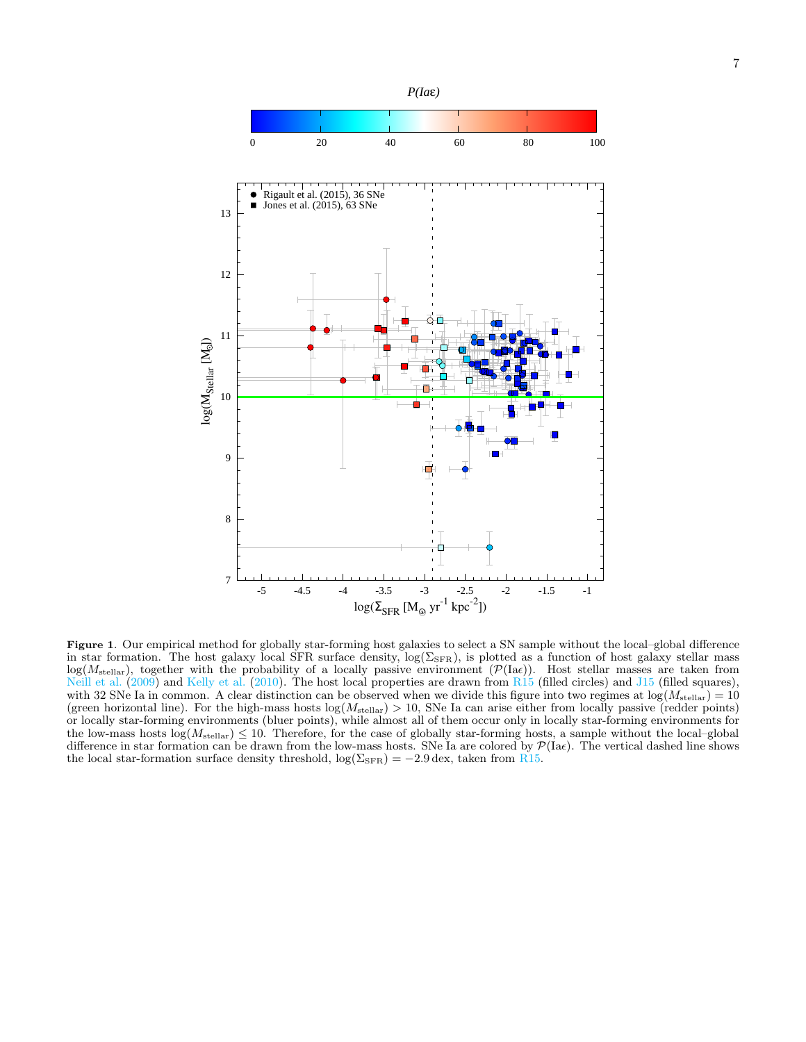

<span id="page-6-0"></span>Figure 1. Our empirical method for globally star-forming host galaxies to select a SN sample without the local–global difference in star formation. The host galaxy local SFR surface density,  $log(\Sigma_{\rm SFR})$ , is plotted as a function of host galaxy stellar mass  $log(M_{\text{stellar}})$ , together with the probability of a locally passive environment  $(\mathcal{P}(Iae))$ . Host stellar masses are taken from [Neill et al.](#page-5-40)  $(2009)$  and [Kelly et al.](#page-5-7)  $(2010)$ . The host local properties are drawn from [R15](#page-5-0) (filled circles) and [J15](#page-5-20) (filled squares), with 32 SNe Ia in common. A clear distinction can be observed when we divide this figure into two regimes at  $log(M_{\text{stellar}}) = 10$ (green horizontal line). For the high-mass hosts  $log(M_{\text{stellar}}) > 10$ , SNe Ia can arise either from locally passive (redder points) or locally star-forming environments (bluer points), while almost all of them occur only in locally star-forming environments for the low-mass hosts  $\log(M_{\text{stellar}}) \leq 10$ . Therefore, for the case of globally star-forming hosts, a sample without the local–global difference in star formation can be drawn from the low-mass hosts. SNe Ia are colored by  $\mathcal{P}(\text{Ia}\epsilon)$ . The vertical dashed line shows the local star-formation surface density threshold,  $\log(\Sigma_{\rm SFR}) = -2.9$  dex, taken from [R15.](#page-5-0)

-5 -4.5 -4 -3.5 -3 -2.5 -2 -1.5 -1

 $\log(\Sigma_{\rm SFR}\,[\rm M_\odot\ yr^{\text{-}1}\ kpc^{\text{-}2}])$ 

7

 $\log({\rm M_{\rm{Stellar}}~[M_{\odot}])}$ 

 $\log(\rm M_{\rm{Stellar}}$  [Mo])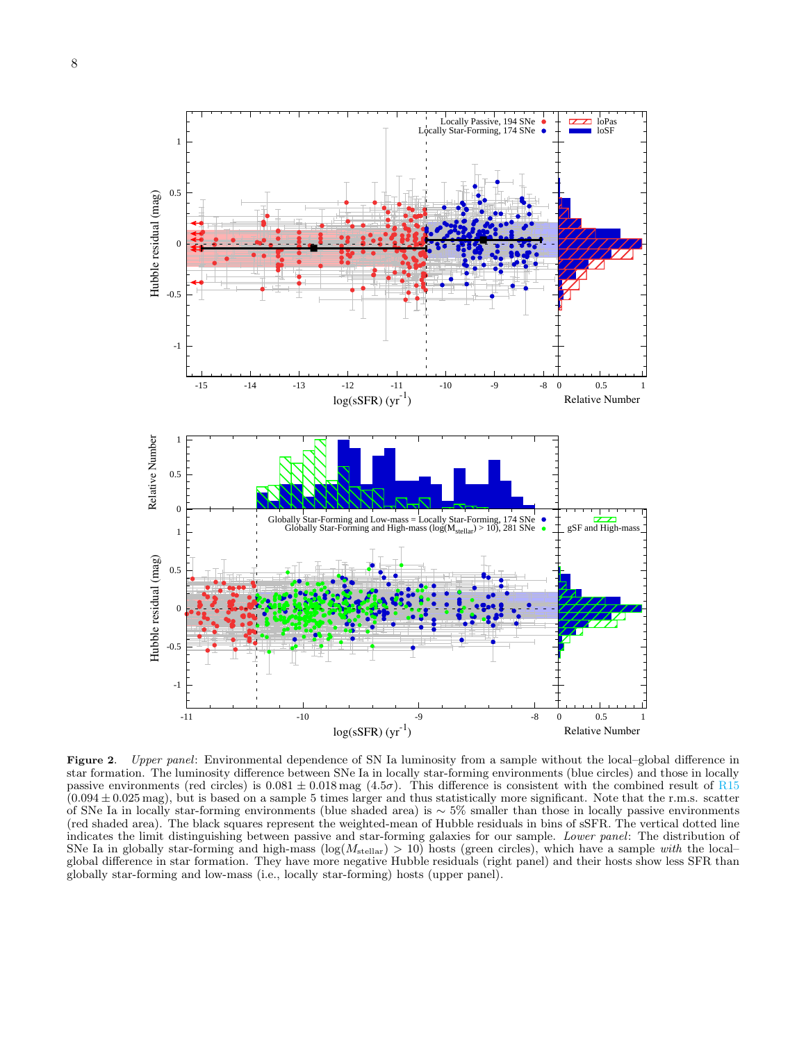

<span id="page-7-0"></span>Figure 2. Upper panel: Environmental dependence of SN Ia luminosity from a sample without the local–global difference in star formation. The luminosity difference between SNe Ia in locally star-forming environments (blue circles) and those in locally passive environments (red circles) is  $0.081 \pm 0.018$  mag  $(4.5\sigma)$ . This difference is consistent with the combined result of [R15](#page-5-0)  $(0.094 \pm 0.025 \,\text{mag})$ , but is based on a sample 5 times larger and thus statistically more significant. Note that the r.m.s. scatter of SNe Ia in locally star-forming environments (blue shaded area) is ∼ 5% smaller than those in locally passive environments (red shaded area). The black squares represent the weighted-mean of Hubble residuals in bins of sSFR. The vertical dotted line indicates the limit distinguishing between passive and star-forming galaxies for our sample. *Lower panel*: The distribution of SNe Ia in globally star-forming and high-mass ( $log(M_{\text{stellar}}) > 10$ ) hosts (green circles), which global difference in star formation. They have more negative Hubble residuals (right panel) and their hosts show less SFR than globally star-forming and low-mass (i.e., locally star-forming) hosts (upper panel).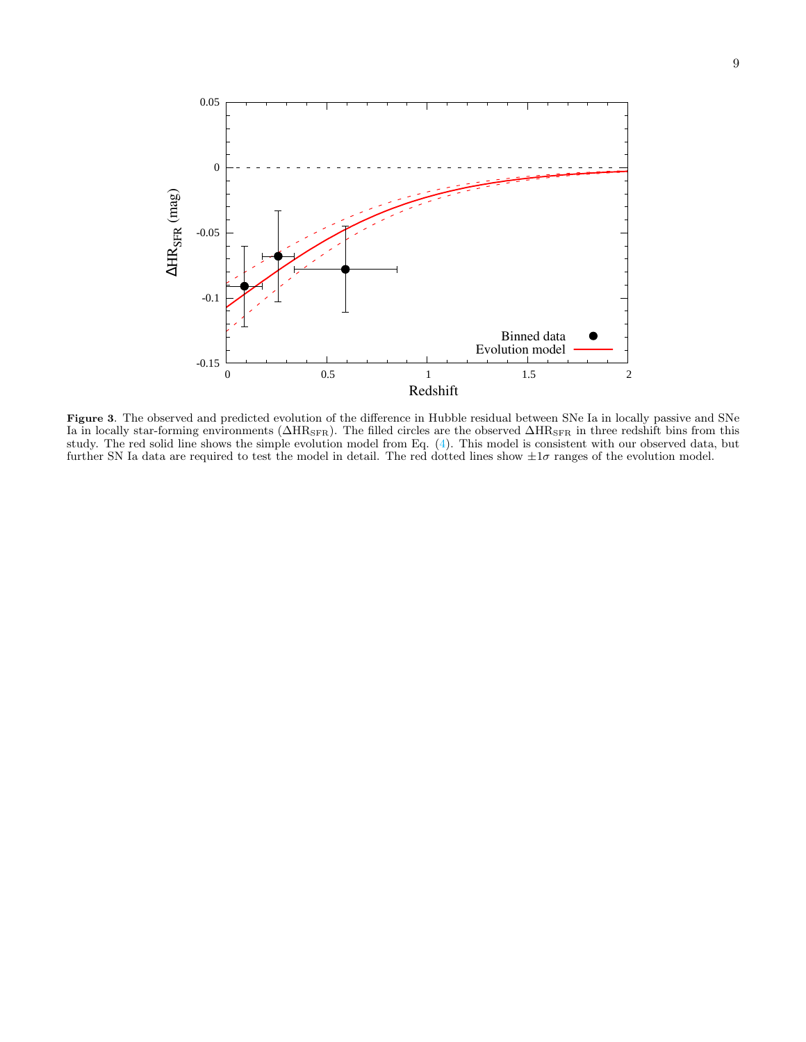

<span id="page-8-0"></span>Figure 3. The observed and predicted evolution of the difference in Hubble residual between SNe Ia in locally passive and SNe Ia in locally star-forming environments ( $\Delta HR_{\rm SFR}$ ). The filled circles are the observed  $\Delta HR_{\rm SFR}$  in three redshift bins from this study. The red solid line shows the simple evolution model from Eq. [\(4\)](#page-3-0). This model is consistent with our observed data, but further SN Ia data are required to test the model in detail. The red dotted lines show  $\pm 1\sigma$  ranges of the evolution model.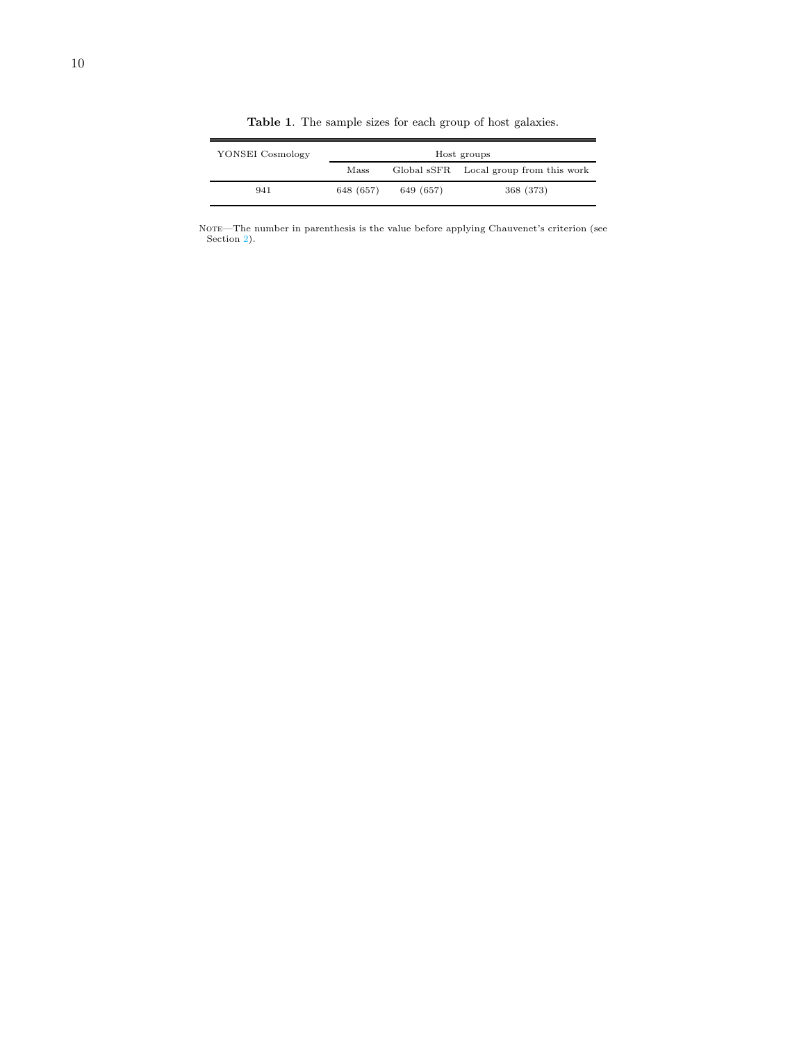<span id="page-9-0"></span>

| YONSEI Cosmology | Host groups |           |                                        |  |  |  |  |  |
|------------------|-------------|-----------|----------------------------------------|--|--|--|--|--|
|                  | Mass        |           | Global sSFR Local group from this work |  |  |  |  |  |
| 941              | 648 (657)   | 649 (657) | 368 (373)                              |  |  |  |  |  |

Table 1. The sample sizes for each group of host galaxies.

NOTE—The number in parenthesis is the value before applying Chauvenet's criterion (see Section [2\)](#page-1-2).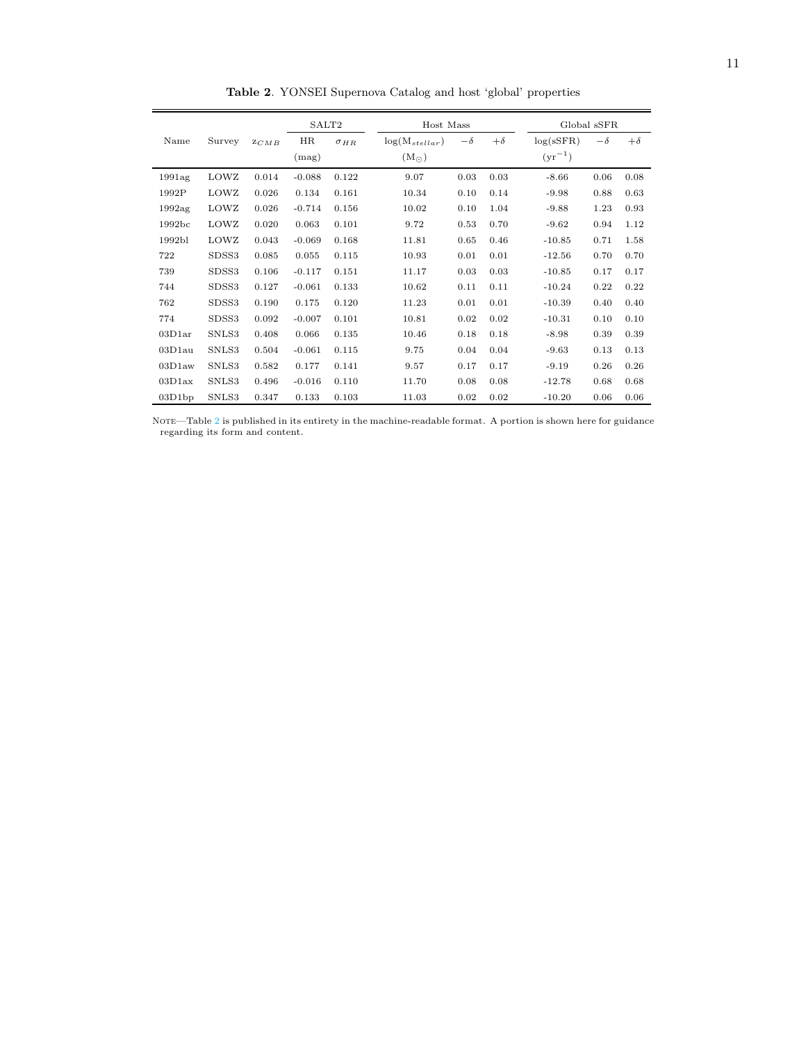|                    |        |       |          | SALT2<br>Host Mass |                    |           |           |             | Global sSFR |           |
|--------------------|--------|-------|----------|--------------------|--------------------|-----------|-----------|-------------|-------------|-----------|
| Name               | Survey | ZCMB  | HR       | $\sigma_{HR}$      | $log(M_{stellar})$ | $-\delta$ | $+\delta$ | log(sSFR)   | $-\delta$   | $+\delta$ |
|                    |        |       | (mag)    |                    | $(M_{\odot})$      |           |           | $(yr^{-1})$ |             |           |
| 1991ag             | LOWZ   | 0.014 | $-0.088$ | 0.122              | 9.07               | 0.03      | 0.03      | $-8.66$     | 0.06        | 0.08      |
| 1992P              | LOWZ   | 0.026 | 0.134    | 0.161              | 10.34              | 0.10      | 0.14      | $-9.98$     | 0.88        | 0.63      |
| 1992ag             | LOWZ   | 0.026 | $-0.714$ | 0.156              | 10.02              | 0.10      | 1.04      | $-9.88$     | 1.23        | 0.93      |
| 1992bc             | LOWZ   | 0.020 | 0.063    | 0.101              | 9.72               | 0.53      | 0.70      | $-9.62$     | 0.94        | 1.12      |
| 1992 <sub>bl</sub> | LOWZ   | 0.043 | $-0.069$ | 0.168              | 11.81              | 0.65      | 0.46      | $-10.85$    | 0.71        | 1.58      |
| 722                | SDSS3  | 0.085 | 0.055    | 0.115              | 10.93              | 0.01      | 0.01      | $-12.56$    | 0.70        | 0.70      |
| 739                | SDSS3  | 0.106 | $-0.117$ | 0.151              | 11.17              | 0.03      | 0.03      | $-10.85$    | 0.17        | 0.17      |
| 744                | SDSS3  | 0.127 | $-0.061$ | 0.133              | 10.62              | 0.11      | 0.11      | $-10.24$    | 0.22        | 0.22      |
| 762                | SDSS3  | 0.190 | 0.175    | 0.120              | 11.23              | 0.01      | 0.01      | $-10.39$    | 0.40        | 0.40      |
| 774                | SDSS3  | 0.092 | $-0.007$ | 0.101              | 10.81              | 0.02      | 0.02      | $-10.31$    | 0.10        | 0.10      |
| 03D1ar             | SNLS3  | 0.408 | 0.066    | 0.135              | 10.46              | 0.18      | 0.18      | $-8.98$     | 0.39        | 0.39      |
| 03D1au             | SNLS3  | 0.504 | $-0.061$ | 0.115              | 9.75               | 0.04      | 0.04      | $-9.63$     | 0.13        | 0.13      |
| 03D1aw             | SNLS3  | 0.582 | 0.177    | 0.141              | 9.57               | 0.17      | 0.17      | $-9.19$     | 0.26        | 0.26      |
| 03D1ax             | SNLS3  | 0.496 | $-0.016$ | 0.110              | 11.70              | 0.08      | 0.08      | $-12.78$    | 0.68        | 0.68      |
| 03D1bp             | SNLS3  | 0.347 | 0.133    | 0.103              | 11.03              | 0.02      | 0.02      | $-10.20$    | 0.06        | 0.06      |

<span id="page-10-0"></span>Table 2. YONSEI Supernova Catalog and host 'global' properties

NOTE—Table [2](#page-10-0) is published in its entirety in the machine-readable format. A portion is shown here for guidance regarding its form and content.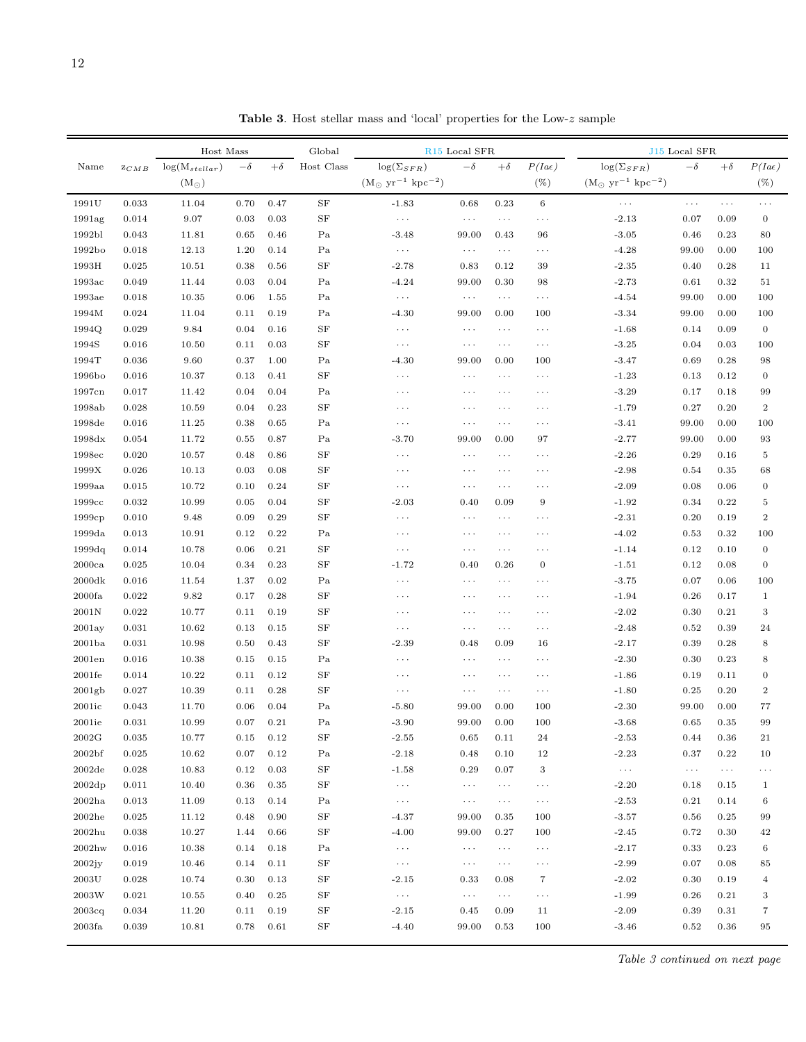<span id="page-11-0"></span>

| $log(\Sigma_{SFR})$<br>Host Class<br>$log(\Sigma_{SFR})$<br>P(Iae)<br>$log(M_{stellar})$<br>$+\delta$<br>$-\delta$<br>$+\delta$<br>Name<br>$-\delta$<br>ZCMB<br>$(M_{\odot} \text{ yr}^{-1} \text{ kpc}^{-2})$<br>$(\mathrm{M}_{\odot}~\mathrm{yr}^{-1}~\mathrm{kpc}^{-2})$<br>$(\%)$<br>$(M_{\odot})$<br>0.033<br>$\rm SF$<br>1991U<br>11.04<br>0.70<br>0.47<br>$-1.83$<br>0.23<br>$\,6\,$<br>0.68<br>$\cdots$ | $-\delta$<br>$\ldots$ | $+\delta$    | P(Iae)                  |
|-----------------------------------------------------------------------------------------------------------------------------------------------------------------------------------------------------------------------------------------------------------------------------------------------------------------------------------------------------------------------------------------------------------------|-----------------------|--------------|-------------------------|
|                                                                                                                                                                                                                                                                                                                                                                                                                 |                       |              |                         |
|                                                                                                                                                                                                                                                                                                                                                                                                                 |                       |              | $(\% )$                 |
|                                                                                                                                                                                                                                                                                                                                                                                                                 |                       | $\cdots$     | $\cdots$                |
| SF<br>1991ag<br>0.014<br>9.07<br>0.03<br>0.03<br>$-2.13$<br>$\ldots$<br>$\ldots$<br>$\ldots$<br>$\cdots$                                                                                                                                                                                                                                                                                                        | 0.07                  | 0.09         | $\boldsymbol{0}$        |
| 1992bl<br>0.043<br>11.81<br>0.65<br>0.46<br>Pa<br>$-3.48$<br>99.00<br>0.43<br>$-3.05$<br>96                                                                                                                                                                                                                                                                                                                     | 0.46                  | 0.23         | 80                      |
| 1992bo<br>0.018<br>12.13<br>1.20<br>0.14<br>Pa<br>$-4.28$<br>$\cdots$<br>$\ldots$<br>$\ldots$<br>$\cdots$                                                                                                                                                                                                                                                                                                       | 99.00                 | 0.00         | 100                     |
| 1993H<br>0.025<br>10.51<br>0.38<br>0.56<br>SF<br>$-2.78$<br>0.83<br>0.12<br>$-2.35$<br>39                                                                                                                                                                                                                                                                                                                       | 0.40                  | 0.28         | 11                      |
| 0.049<br>0.03<br>0.04<br>Pa<br>99.00                                                                                                                                                                                                                                                                                                                                                                            | 0.61                  | 0.32         |                         |
| 1993ac<br>11.44<br>$-4.24$<br>$-2.73$<br>0.30<br>98<br>1993ae<br>0.018<br>10.35<br>0.06<br>Pa<br>$-4.54$<br>$\ldots$<br>$\ldots$<br>$\ldots$<br>$\cdots$                                                                                                                                                                                                                                                        | 99.00                 | 0.00         | 51<br>100               |
| 1.55<br>1994M<br>0.024<br>11.04<br>0.11<br>Pa<br>$-4.30$<br>0.00<br>$-3.34$<br>0.19<br>99.00<br>100                                                                                                                                                                                                                                                                                                             | 99.00                 | 0.00         | 100                     |
| 9.84<br>$\rm SF$<br>1994Q<br>0.029<br>0.04<br>$-1.68$<br>0.16<br>$\ldots$<br>$\ldots$<br>$\ldots$<br>$\ldots$                                                                                                                                                                                                                                                                                                   | 0.14                  | 0.09         | $\mathbf{0}$            |
| 1994S<br>$\rm SF$<br>0.016<br>0.11<br>$\ldots$<br>$\ldots$<br>$\ldots$<br>$\ldots$                                                                                                                                                                                                                                                                                                                              |                       |              |                         |
| 10.50<br>0.03<br>$-3.25$<br>1994T<br>9.60<br>Pa<br>0.036<br>0.00                                                                                                                                                                                                                                                                                                                                                | 0.04                  | 0.03<br>0.28 | 100                     |
| 0.37<br>1.00<br>$-4.30$<br>$-3.47$<br>99.00<br>100<br>SF<br>$\cdots$<br>$\cdots$                                                                                                                                                                                                                                                                                                                                | 0.69                  |              | 98                      |
| 1996bo<br>0.016<br>10.37<br>0.13<br>$-1.23$<br>0.41<br>$\ldots$<br>$\ldots$                                                                                                                                                                                                                                                                                                                                     | 0.13                  | 0.12         | $\boldsymbol{0}$        |
| $-3.29$<br>1997cn<br>0.017<br>11.42<br>0.04<br>0.04<br>Pa<br>$\cdots$<br>$\cdots$<br>$\cdots$<br>$\cdots$                                                                                                                                                                                                                                                                                                       | 0.17                  | 0.18         | 99                      |
| $\rm SF$<br>1998ab<br>0.028<br>10.59<br>0.04<br>0.23<br>$-1.79$<br>$\cdots$<br>$\ldots$<br>$\cdots$<br>$\cdots$                                                                                                                                                                                                                                                                                                 | 0.27                  | 0.20         | $\,2$                   |
| 1998de<br>0.016<br>11.25<br>0.38<br>0.65<br>Pa<br>$-3.41$<br>$\cdots$<br>$\ldots$<br>$\ldots$<br>$\cdots$                                                                                                                                                                                                                                                                                                       | 99.00                 | 0.00         | 100                     |
| 1998dx<br>0.054<br>11.72<br>0.55<br>0.87<br>Pa<br>$-3.70$<br>97<br>$-2.77$<br>99.00<br>0.00                                                                                                                                                                                                                                                                                                                     | 99.00                 | 0.00         | 93                      |
| $\rm SF$<br>$-2.26$<br>1998ec<br>0.020<br>10.57<br>0.48<br>0.86<br>$\cdots$<br>$\ldots$<br>$\cdots$<br>$\ldots$                                                                                                                                                                                                                                                                                                 | 0.29                  | 0.16         | 5                       |
| $1999\rm{X}$<br>$\rm SF$<br>$-2.98$<br>0.026<br>10.13<br>0.03<br>0.08<br>$\cdots$<br>$\ldots$<br>$\ldots$<br>$\cdots$                                                                                                                                                                                                                                                                                           | 0.54                  | 0.35         | 68                      |
| $\rm SF$<br>1999a <sub>a</sub><br>0.015<br>10.72<br>0.10<br>0.24<br>$-2.09$<br>$\cdots$<br>$\ldots$<br>$\ldots$<br>$\cdots$                                                                                                                                                                                                                                                                                     | 0.08                  | 0.06         | $\boldsymbol{0}$        |
| $\rm SF$<br>$-1.92$<br>1999cc<br>0.032<br>10.99<br>0.05<br>0.04<br>$9\,$<br>$-2.03$<br>0.40<br>0.09                                                                                                                                                                                                                                                                                                             | 0.34                  | 0.22         | 5                       |
| $\rm SF$<br>1999cp<br>0.010<br>9.48<br>0.09<br>0.29<br>$-2.31$<br>$\cdots$<br>$\cdots$<br>$\cdots$<br>$\ldots$                                                                                                                                                                                                                                                                                                  | 0.20                  | 0.19         | $\,2$                   |
| 1999da<br>Pa<br>$-4.02$<br>0.013<br>10.91<br>0.12<br>0.22<br>$\cdots$<br>$\ldots$<br>$\cdots$<br>$\cdots$                                                                                                                                                                                                                                                                                                       | 0.53                  | 0.32         | 100                     |
| $\rm SF$<br>1999dq<br>0.014<br>10.78<br>0.06<br>0.21<br>$-1.14$<br>$\ldots$<br>$\ldots$<br>$\ldots$ .<br>$\cdots$                                                                                                                                                                                                                                                                                               | 0.12                  | 0.10         | $\boldsymbol{0}$        |
| $\rm SF$<br>2000ca<br>0.025<br>10.04<br>0.34<br>0.23<br>$-1.72$<br>$\boldsymbol{0}$<br>$-1.51$<br>0.40<br>0.26                                                                                                                                                                                                                                                                                                  | 0.12                  | 0.08         | $\boldsymbol{0}$        |
| 2000dk<br>0.016<br>11.54<br>1.37<br>0.02<br>Pa<br>$-3.75$<br>$\ldots$<br>$\ldots$<br>$\ldots$<br>$\cdots$                                                                                                                                                                                                                                                                                                       | 0.07                  | 0.06         | 100                     |
| 9.82<br>$\rm SF$<br>2000fa<br>0.022<br>0.17<br>0.28<br>$-1.94$<br>$\cdots$<br>$\ldots$<br>$\ldots$<br>$\cdots$                                                                                                                                                                                                                                                                                                  | 0.26                  | 0.17         | $\mathbf{1}$            |
| $\rm SF$<br>2001N<br>0.022<br>10.77<br>0.11<br>0.19<br>$-2.02$<br>$\cdots$<br>$\ldots$<br>$\ldots$<br>$\cdots$                                                                                                                                                                                                                                                                                                  | 0.30                  | 0.21         | $\,3$                   |
| $\rm SF$<br>2001ay<br>0.031<br>10.62<br>0.13<br>0.15<br>$-2.48$<br>$\ldots$<br>$\ldots$<br>$\ldots$<br>$\cdots$                                                                                                                                                                                                                                                                                                 | 0.52                  | 0.39         | 24                      |
| $\rm SF$<br>2001ba<br>0.031<br>10.98<br>0.50<br>0.43<br>$-2.39$<br>$-2.17$<br>0.48<br>0.09<br>16                                                                                                                                                                                                                                                                                                                | 0.39                  | 0.28         | 8                       |
| 2001en<br>0.016<br>10.38<br>0.15<br>0.15<br>Pa<br>$-2.30$<br>$\cdots$<br>$\ldots$<br>$\ldots$<br>$\cdots$                                                                                                                                                                                                                                                                                                       | 0.30                  | 0.23         | 8                       |
| $\rm SF$<br>2001fe<br>0.014<br>10.22<br>0.11<br>0.12<br>$-1.86$<br>$\cdots$<br>$\ldots$<br>$\cdots$<br>$\cdots$                                                                                                                                                                                                                                                                                                 | 0.19                  | 0.11         | $\boldsymbol{0}$        |
| SF<br>2001gb<br>0.027<br>10.39<br>0.11<br>0.28<br>$-1.80$<br>$\ldots$<br>$\ldots$<br>$\ldots$ .<br>$\ldots$                                                                                                                                                                                                                                                                                                     | 0.25                  | 0.20         | $\,2$                   |
| 2001ic<br>0.043<br>11.70<br>0.06<br>0.04<br>Pa<br>$-5.80$<br>99.00<br>0.00<br>$-2.30$<br>100                                                                                                                                                                                                                                                                                                                    | 99.00                 | 0.00         | 77                      |
| 0.031<br>0.07<br>0.21<br>Pa<br>$-3.90$<br>99.00<br>0.00<br>2001ie<br>10.99<br>100<br>$-3.68$                                                                                                                                                                                                                                                                                                                    | 0.65                  | 0.35         | 99                      |
| $\rm 0.15$<br>$\rm SF$<br>2002G<br>10.77<br>$\rm 0.12$<br>$\textbf{-2.55}$<br>$\,0.65\,$<br>24<br>$-2.53$<br>$\,0.035\,$<br>0.11                                                                                                                                                                                                                                                                                | $0.44\,$              | $\rm 0.36$   | 21                      |
| 2002 <sub>bf</sub><br>10.62<br>$-2.18$<br>0.10<br>12<br>$-2.23$<br>0.025<br>0.07<br>0.12<br>Pa<br>0.48                                                                                                                                                                                                                                                                                                          | 0.37                  | 0.22         | 10                      |
| $\rm SF$<br>2002de<br>0.028<br>10.83<br>0.12<br>0.03<br>$-1.58$<br>0.29<br>0.07<br>$\,3$<br>$\ldots$ .                                                                                                                                                                                                                                                                                                          | $\ldots$              | $\cdots$     | $\cdots$                |
| $\rm SF$<br>2002dp<br>0.011<br>10.40<br>0.36<br>0.35<br>$\ldots$<br>$-2.20$<br>$\sim$ $\sim$ $\sim$<br>$\epsilon \rightarrow \infty$<br>$\cdots$                                                                                                                                                                                                                                                                | 0.18                  | 0.15         | $\mathbf{1}$            |
| 2002ha<br>0.013<br>11.09<br>0.13<br>0.14<br>Pa<br>$\ldots$<br>$-2.53$<br>$\ldots$<br>$\ldots$ .<br>$\ldots$                                                                                                                                                                                                                                                                                                     | 0.21                  | 0.14         | $\,6\,$                 |
| $\rm SF$<br>2002he<br>0.025<br>0.48<br>0.90<br>$-3.57$<br>11.12<br>-4.37<br>99.00<br>0.35<br>100                                                                                                                                                                                                                                                                                                                | 0.56                  | 0.25         | 99                      |
| $\rm SF$<br>$2002$ hu<br>0.038<br>10.27<br>1.44<br>0.66<br>$-4.00$<br>99.00<br>0.27<br>$-2.45$<br>100                                                                                                                                                                                                                                                                                                           | 0.72                  | 0.30         | 42                      |
| $2002$ hw<br>0.016<br>10.38<br>0.14<br>0.18<br>Pa<br>$\ldots$<br>$-2.17$<br>$\ldots$<br>$\ldots$ .<br>$\ldots$                                                                                                                                                                                                                                                                                                  | 0.33                  | 0.23         | $\,6\,$                 |
| $\rm SF$<br>2002jy<br>0.019<br>10.46<br>0.14<br>0.11<br>$-2.99$<br>$\ldots$<br>$\ldots$ .<br>$\sim$ $\sim$ $\sim$<br>$\ldots$                                                                                                                                                                                                                                                                                   | 0.07                  | 0.08         | 85                      |
| $2003\mathrm{U}$<br>$\scriptstyle{7}$<br>0.028<br>10.74<br>$0.30\,$<br>0.13<br>SF<br>$-2.02$<br>$-2.15$<br>0.33<br>0.08                                                                                                                                                                                                                                                                                         | 0.30                  | 0.19         | $\overline{\mathbf{4}}$ |
| 2003W<br>0.021<br>0.40<br>0.25<br>SF<br>$\ldots$<br>$-1.99$<br>10.55<br>$\ldots$<br>$\ldots$ .<br>$\cdots$                                                                                                                                                                                                                                                                                                      | 0.26                  | 0.21         | $\,3$                   |
| 2003cq<br>0.034<br>11.20<br>0.11<br>0.19<br>SF<br>$-2.09$<br>$-2.15$<br>0.45<br>0.09<br>11                                                                                                                                                                                                                                                                                                                      | 0.39                  | 0.31         | $\scriptstyle{7}$       |
| $2003{\rm fa}$<br>$\rm SF$<br>0.039<br>10.81<br>0.78<br>0.61<br>$-4.40$<br>99.00<br>0.53<br>100<br>$-3.46$                                                                                                                                                                                                                                                                                                      | 0.52                  | 0.36         | 95                      |

Table 3. Host stellar mass and 'local' properties for the Low- $z$  sample

Table 3 continued on next page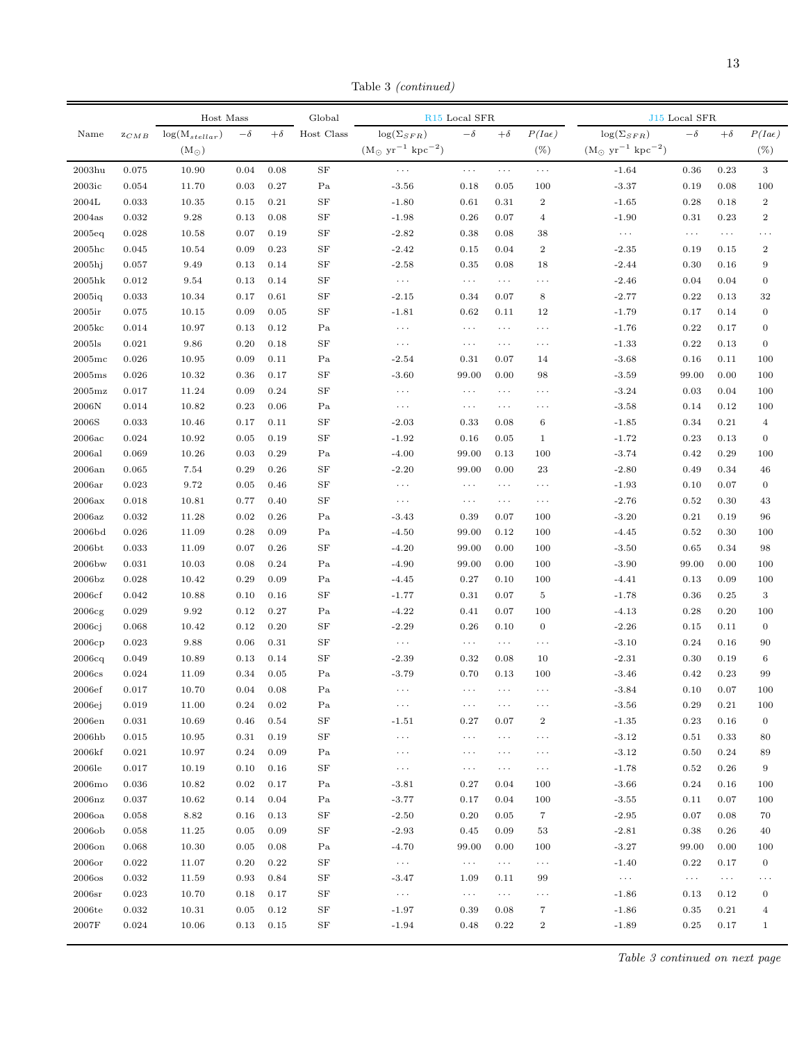Table 3 (continued)

|                              |                                   | Host Mass          |           |              | Global     |                                                | R <sub>15</sub> Local SFR |                      |                  |                                            | J15 Local SFR |           |                         |
|------------------------------|-----------------------------------|--------------------|-----------|--------------|------------|------------------------------------------------|---------------------------|----------------------|------------------|--------------------------------------------|---------------|-----------|-------------------------|
| Name                         | $\mathbb{Z}C\mathbb{M}\mathbb{B}$ | $log(M_{stellar})$ | $-\delta$ | $+\delta$    | Host Class | $\log(\Sigma_{SFR})$                           | $-\delta$                 | $+\delta$            | P(Iae)           | $log(\Sigma_{SFR})$                        | $-\delta$     | $+\delta$ | P(Iae)                  |
|                              |                                   | $(M_{\odot})$      |           |              |            | $(M_{\odot} \text{ yr}^{-1} \text{ kpc}^{-2})$ |                           |                      | $(\%)$           | $(M_{\odot}~{\rm yr}^{-1}~{\rm kpc}^{-2})$ |               |           | $(\%)$                  |
| $2003$ hu                    | 0.075                             | 10.90              | 0.04      | 0.08         | SF         | .                                              | $\ldots$ .                | $\ldots$             | $\ldots$         | $-1.64$                                    | 0.36          | 0.23      | $\,3\,$                 |
| 2003ic                       | 0.054                             | 11.70              | 0.03      | 0.27         | Pa         | $-3.56$                                        | 0.18                      | 0.05                 | 100              | $-3.37$                                    | 0.19          | 0.08      | 100                     |
| 2004L                        | 0.033                             | 10.35              | 0.15      | 0.21         | SF         | $-1.80$                                        | 0.61                      | 0.31                 | $\,2$            | $-1.65$                                    | 0.28          | 0.18      | $\,2$                   |
| 2004as                       | 0.032                             | 9.28               | 0.13      | 0.08         | SF         | $-1.98$                                        | 0.26                      | 0.07                 | $\,4\,$          | $-1.90$                                    | 0.31          | 0.23      | $\boldsymbol{2}$        |
| 2005eq                       | 0.028                             | 10.58              | 0.07      | 0.19         | SF         | $-2.82$                                        | 0.38                      | 0.08                 | 38               | .                                          | $\ldots$      | $\ldots$  | .                       |
| $2005\mathrm{hc}$            | 0.045                             | 10.54              | 0.09      | 0.23         | SF         | $-2.42$                                        | 0.15                      | 0.04                 | $\sqrt{2}$       | $-2.35$                                    | 0.19          | 0.15      | $\boldsymbol{2}$        |
| $2005$ hj                    | 0.057                             | 9.49               | 0.13      | 0.14         | SF         | $-2.58$                                        | 0.35                      | 0.08                 | 18               | $-2.44$                                    | 0.30          | 0.16      | $\overline{9}$          |
| $2005$ hk                    | 0.012                             | 9.54               | 0.13      | 0.14         | SF         | $\ldots$ .                                     | $\ldots$                  | $\ldots$             | $\cdots$         | $-2.46$                                    | 0.04          | 0.04      | $\boldsymbol{0}$        |
| 2005iq                       | 0.033                             | 10.34              | 0.17      | 0.61         | SF         | $-2.15$                                        | 0.34                      | 0.07                 | 8                | $-2.77$                                    | 0.22          | 0.13      | 32                      |
| 2005ir                       | 0.075                             | 10.15              | 0.09      | 0.05         | SF         | $-1.81$                                        | 0.62                      | 0.11                 | 12               | $-1.79$                                    | 0.17          | 0.14      | $\boldsymbol{0}$        |
| 2005 <sub>kc</sub>           | 0.014                             | 10.97              | 0.13      | 0.12         | Pa         | $\cdots$                                       | $\cdots$                  | $\ldots$             | $\cdots$         | $-1.76$                                    | 0.22          | 0.17      | $\boldsymbol{0}$        |
| $2005$ ls                    | 0.021                             | 9.86               | 0.20      | 0.18         | SF         | $\ldots$ .                                     | $\ldots$                  | $\ldots$             | $\cdots$         | $-1.33$                                    | 0.22          | 0.13      | $\boldsymbol{0}$        |
| $2005$ mc                    | 0.026                             | 10.95              | 0.09      | 0.11         | Pa         | $-2.54$                                        | 0.31                      | 0.07                 | 14               | $-3.68$                                    | 0.16          | 0.11      | 100                     |
| 2005ms                       | 0.026                             | 10.32              | 0.36      | 0.17         | SF         | $-3.60$                                        | 99.00                     | 0.00                 | 98               | $-3.59$                                    | 99.00         | 0.00      | 100                     |
| $2005$ mz                    | 0.017                             | 11.24              | 0.09      | 0.24         | SF         | $\ldots$                                       | $\cdots$                  | $\ldots$             | .                | $-3.24$                                    | 0.03          | 0.04      | 100                     |
| 2006N                        | 0.014                             | 10.82              | 0.23      | 0.06         | Pa         | $\cdots$                                       | $\cdots$                  | $\cdots$             | .                | $-3.58$                                    | 0.14          | 0.12      | 100                     |
| 2006S                        | 0.033                             | 10.46              | 0.17      | 0.11         | SF         | $-2.03$                                        | 0.33                      | 0.08                 | $\,6$            | $-1.85$                                    | 0.34          | 0.21      | $\overline{4}$          |
| 2006ac                       | 0.024                             | 10.92              | 0.05      | 0.19         | SF         | $-1.92$                                        | 0.16                      | 0.05                 | $\mathbf{1}$     | $-1.72$                                    | 0.23          | 0.13      | $\boldsymbol{0}$        |
| 2006al                       | 0.069                             | 10.26              | 0.03      | 0.29         | Pa         | $-4.00$                                        | 99.00                     | 0.13                 | 100              | $-3.74$                                    | 0.42          | 0.29      | 100                     |
| 2006an                       | 0.065                             | 7.54               | 0.29      | 0.26         | SF         | $-2.20$                                        | 99.00                     | 0.00                 | 23               | $-2.80$                                    | 0.49          | 0.34      | 46                      |
| 2006ar                       | 0.023                             | 9.72               | 0.05      | 0.46         | SF         | $\cdots$                                       | $\cdots$                  | $\ldots$             | .                | $-1.93$                                    | 0.10          | 0.07      | $\boldsymbol{0}$        |
| 2006ax                       | 0.018                             | 10.81              | 0.77      | 0.40         | SF         | $\ldots$                                       | $\ldots$                  | $\ldots$             | $\cdots$         | $-2.76$                                    | 0.52          | 0.30      | 43                      |
| 2006az                       | 0.032                             | 11.28              | 0.02      | 0.26         | Pa         | $-3.43$                                        | 0.39                      | 0.07                 | 100              | $-3.20$                                    | 0.21          | 0.19      | 96                      |
| 2006bd                       | 0.026                             | 11.09              | 0.28      | 0.09         | Pa         | $-4.50$                                        | 99.00                     | 0.12                 | 100              | $-4.45$                                    | 0.52          | 0.30      | 100                     |
| 2006 <sub>bt</sub>           | 0.033                             | 11.09              | 0.07      | 0.26         | SF         | $-4.20$                                        | 99.00                     | $0.00\,$             | 100              | $-3.50$                                    | 0.65          | 0.34      | 98                      |
| 2006bw                       | 0.031                             | 10.03              | 0.08      | 0.24         | Pa         | $-4.90$                                        | 99.00                     | 0.00                 | 100              | $-3.90$                                    | 99.00         | 0.00      | 100                     |
| 2006 <sub>bz</sub>           | 0.028                             | 10.42              | 0.29      | 0.09         | Pa         | $-4.45$                                        | 0.27                      | 0.10                 | 100              | $-4.41$                                    | 0.13          | 0.09      | 100                     |
| 2006cf                       | 0.042                             | 10.88              | 0.10      | 0.16         | SF         | $-1.77$                                        | 0.31                      | 0.07                 | $\,$ 5           | $-1.78$                                    | 0.36          | 0.25      | 3                       |
| 2006cg                       | 0.029                             | 9.92               | 0.12      | 0.27         | Pa         | $-4.22$                                        | 0.41                      | 0.07                 | 100              | $-4.13$                                    | 0.28          | 0.20      | 100                     |
| 2006cj                       | 0.068                             | 10.42              | 0.12      | 0.20         | SF         | $-2.29$                                        | 0.26                      | 0.10                 | $\boldsymbol{0}$ | $-2.26$                                    | 0.15          | 0.11      | $\mathbf{0}$            |
| 2006cp                       | 0.023                             | 9.88               | 0.06      | 0.31         | SF         | $\ldots$                                       | $\ldots$                  | $\ldots$             | $\cdots$         | $-3.10$                                    | 0.24          | 0.16      | 90                      |
| 2006cq                       | 0.049                             | 10.89              | 0.13      | 0.14         | SF         | $-2.39$                                        | 0.32                      | 0.08                 | 10               | $-2.31$                                    | 0.30          | 0.19      | 6                       |
| 2006cs                       | 0.024                             | 11.09              | 0.34      | 0.05         | Pa         | $-3.79$                                        | 0.70                      | 0.13                 | 100              | $-3.46$                                    | 0.42          | 0.23      | 99                      |
| 2006ef                       | 0.017                             | 10.70              | 0.04      | 0.08         | Pa         | $\cdots$                                       | $\ldots$                  | $\sim$ $\sim$ $\sim$ | .                | $-3.84$                                    | 0.10          | 0.07      | 100                     |
| 2006ej                       | 0.019                             | 11.00              | 0.24      | 0.02         | Pa         | $\ldots$                                       | $\cdots$                  | $\cdots$             | $\cdots$         | $-3.56$                                    | 0.29          | 0.21      | 100                     |
| 2006en                       | 0.031                             | 10.69              | 0.46      | 0.54         | SF         | $-1.51$                                        | $_{0.27}$                 | 0.07                 | $\,2$            | $-1.35$                                    | $\rm 0.23$    | 0.16      | $\boldsymbol{0}$        |
| 2006hb                       | 0.015                             | 10.95              | 0.31      | 0.19         | SF         | $\ldots$                                       | $\cdots$                  | $\cdots$             | $\cdots$         | $-3.12$                                    | 0.51          | 0.33      | 80                      |
| 2006kf                       | 0.021                             | 10.97              | 0.24      | 0.09         | Pa         | $\ldots$                                       | $\cdots$                  | $\cdots$             | $\cdots$         | $-3.12$                                    | 0.50          | 0.24      | 89                      |
| 2006le                       | 0.017                             | 10.19              | 0.10      | 0.16         | SF         | $\ldots$                                       |                           |                      |                  | $-1.78$                                    | 0.52          | 0.26      | 9                       |
|                              | 0.036                             | 10.82              | 0.02      | 0.17         | Pa         |                                                | $\cdots$                  | $\ldots$<br>0.04     | $\cdots$         | $-3.66$                                    | 0.24          | 0.16      |                         |
| 2006 <sub>mo</sub><br>2006nz | 0.037                             | 10.62              | 0.14      | 0.04         | Pa         | $-3.81$<br>$-3.77$                             | 0.27<br>0.17              | 0.04                 | 100<br>100       |                                            | 0.11          | 0.07      | 100<br>100              |
|                              |                                   | 8.82               |           |              | SF         | $-2.50$                                        |                           | 0.05                 | $\overline{7}$   | $-3.55$<br>$-2.95$                         |               |           |                         |
| $2006$ oa                    | 0.058                             |                    | 0.16      | 0.13<br>0.09 |            |                                                | 0.20                      |                      |                  |                                            | 0.07          | 0.08      | 70                      |
| 2006ob                       | 0.058                             | 11.25              | 0.05      |              | SF         | $-2.93$                                        | 0.45                      | 0.09                 | 53               | $-2.81$                                    | 0.38          | 0.26      | 40                      |
| $2006$ on                    | 0.068                             | 10.30              | 0.05      | 0.08         | Pa         | $-4.70$                                        | 99.00                     | 0.00                 | 100              | $-3.27$                                    | 99.00         | 0.00      | 100                     |
| $2006$ or                    | 0.022                             | 11.07              | 0.20      | 0.22         | SF         | $\sim$ $\sim$ $\sim$                           | $\ldots$                  | $\ldots$             | $\cdots$         | $-1.40$                                    | 0.22          | 0.17      | $\boldsymbol{0}$        |
| $2006$ os                    | 0.032                             | 11.59              | 0.93      | 0.84         | SF         | $-3.47$                                        | 1.09                      | 0.11                 | 99               | $\ldots$                                   | $\ldots$      | $\ldots$  | .                       |
| 2006sr                       | 0.023                             | 10.70              | 0.18      | 0.17         | SF         | $\ldots$                                       | $\sim$ $\sim$ $\sim$      | $\cdots$             | $\cdots$         | $-1.86$                                    | 0.13          | 0.12      | $\boldsymbol{0}$        |
| 2006te                       | 0.032                             | 10.31              | 0.05      | 0.12         | SF         | $-1.97$                                        | 0.39                      | 0.08                 | $\overline{7}$   | $-1.86$                                    | 0.35          | 0.21      | $\overline{\mathbf{4}}$ |
| 2007F                        | 0.024                             | 10.06              | 0.13      | 0.15         | $\rm{SF}$  | $-1.94$                                        | 0.48                      | 0.22                 | $\,2$            | $-1.89$                                    | 0.25          | 0.17      | $\mathbf{1}$            |

Table 3 continued on next page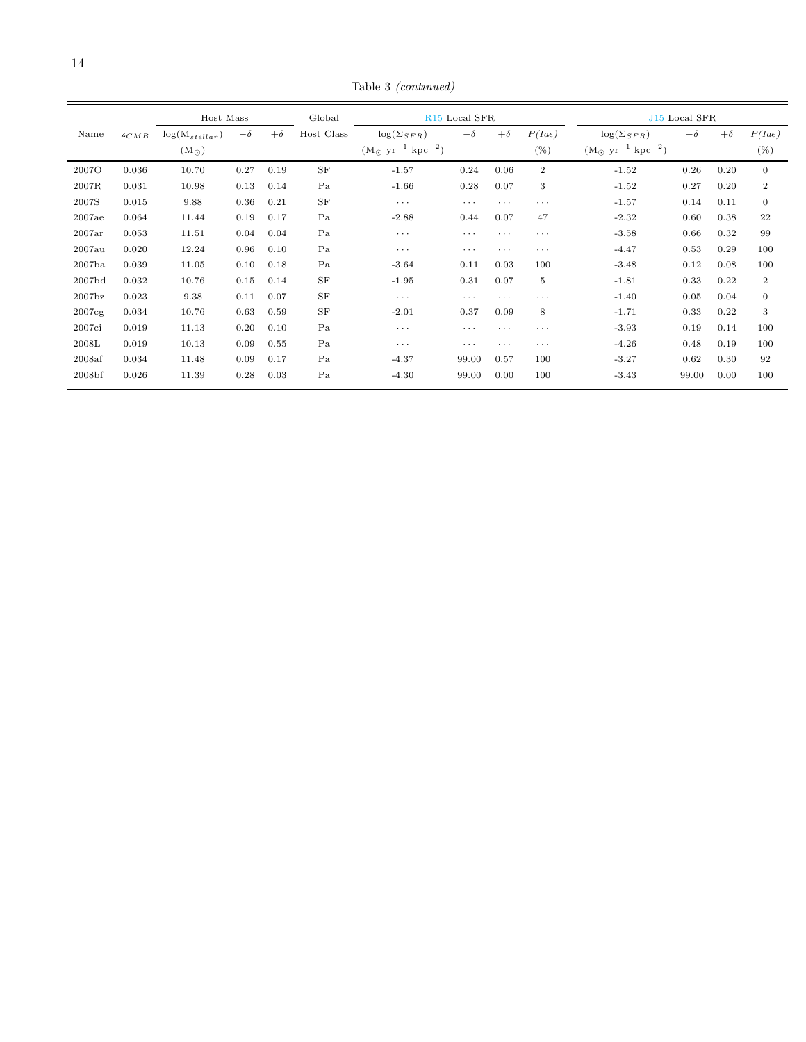Table 3 (continued)

|                    |       | Host Mass          |           |           | Global     | R <sub>15</sub> Local SFR                      |           |           |                |                                                | J <sub>15</sub> Local SFR |           |                  |
|--------------------|-------|--------------------|-----------|-----------|------------|------------------------------------------------|-----------|-----------|----------------|------------------------------------------------|---------------------------|-----------|------------------|
| Name               | ZCMB  | $log(M_{stellar})$ | $-\delta$ | $+\delta$ | Host Class | $\log(\Sigma_{SFR})$                           | $-\delta$ | $+\delta$ | P(Iae)         | $\log(\Sigma_{SFR})$                           | $-\delta$                 | $+\delta$ | P(Iae)           |
|                    |       | $(M_{\odot})$      |           |           |            | $(M_{\odot} \text{ yr}^{-1} \text{ kpc}^{-2})$ |           |           | $(\% )$        | $(M_{\odot} \text{ yr}^{-1} \text{ kpc}^{-2})$ |                           |           | $(\%)$           |
| 2007O              | 0.036 | 10.70              | 0.27      | 0.19      | SF         | $-1.57$                                        | 0.24      | 0.06      | $\overline{2}$ | $-1.52$                                        | 0.26                      | 0.20      | $\mathbf{0}$     |
| 2007R              | 0.031 | 10.98              | 0.13      | 0.14      | Pa         | $-1.66$                                        | 0.28      | 0.07      | 3              | $-1.52$                                        | 0.27                      | 0.20      | $\boldsymbol{2}$ |
| 2007S              | 0.015 | 9.88               | 0.36      | 0.21      | SF         | $\cdots$                                       | $\cdots$  | $\cdots$  | $\cdots$       | $-1.57$                                        | 0.14                      | 0.11      | $\mathbf{0}$     |
| 2007ae             | 0.064 | 11.44              | 0.19      | 0.17      | Pa         | $-2.88$                                        | 0.44      | 0.07      | 47             | $-2.32$                                        | 0.60                      | 0.38      | 22               |
| 2007ar             | 0.053 | 11.51              | 0.04      | 0.04      | Pa         | $\cdots$                                       | $\cdots$  | $\cdots$  | $\cdots$       | $-3.58$                                        | 0.66                      | 0.32      | 99               |
| 2007au             | 0.020 | 12.24              | 0.96      | 0.10      | Pa         | $\cdots$                                       | $\cdots$  | $\cdots$  | $\cdots$       | $-4.47$                                        | 0.53                      | 0.29      | 100              |
| 2007ba             | 0.039 | 11.05              | 0.10      | 0.18      | Pa         | $-3.64$                                        | 0.11      | 0.03      | 100            | $-3.48$                                        | 0.12                      | 0.08      | 100              |
| 2007 <sub>bd</sub> | 0.032 | 10.76              | 0.15      | 0.14      | <b>SF</b>  | $-1.95$                                        | 0.31      | 0.07      | 5              | $-1.81$                                        | 0.33                      | 0.22      | $\overline{2}$   |
| 2007 <sub>bz</sub> | 0.023 | 9.38               | 0.11      | 0.07      | SF         | $\cdots$                                       | $\cdots$  | $\cdots$  | $\cdots$       | $-1.40$                                        | 0.05                      | 0.04      | $\mathbf{0}$     |
| 2007cg             | 0.034 | 10.76              | 0.63      | 0.59      | SF         | $-2.01$                                        | 0.37      | 0.09      | 8              | $-1.71$                                        | 0.33                      | 0.22      | 3                |
| 2007ci             | 0.019 | 11.13              | 0.20      | 0.10      | Pa         | $\cdots$                                       | $\cdots$  | $\cdots$  | $\cdots$       | $-3.93$                                        | 0.19                      | 0.14      | 100              |
| 2008L              | 0.019 | 10.13              | 0.09      | 0.55      | Pa         | $\cdots$                                       | $\cdots$  | $\cdots$  | $\cdots$       | $-4.26$                                        | 0.48                      | 0.19      | 100              |
| 2008af             | 0.034 | 11.48              | 0.09      | 0.17      | Pa         | $-4.37$                                        | 99.00     | 0.57      | 100            | $-3.27$                                        | 0.62                      | 0.30      | 92               |
| 2008 <sub>bf</sub> | 0.026 | 11.39              | 0.28      | 0.03      | Pa         | $-4.30$                                        | 99.00     | 0.00      | 100            | $-3.43$                                        | 99.00                     | 0.00      | 100              |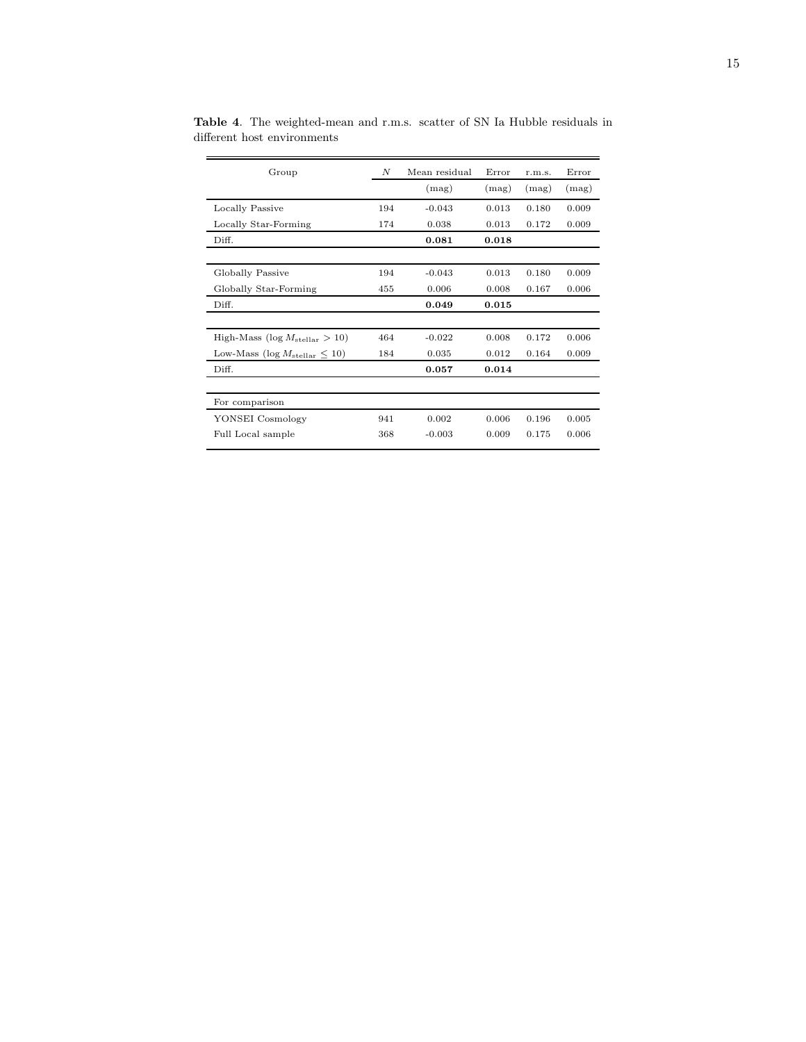| Group                                        | N   | Mean residual | Error | r.m.s. | Error |
|----------------------------------------------|-----|---------------|-------|--------|-------|
|                                              |     | (mag)         | (mag) | (mag)  | (mag) |
| Locally Passive                              | 194 | $-0.043$      | 0.013 | 0.180  | 0.009 |
| Locally Star-Forming                         | 174 | 0.038         | 0.013 | 0.172  | 0.009 |
| Diff.                                        |     | 0.081         | 0.018 |        |       |
|                                              |     |               |       |        |       |
| Globally Passive                             | 194 | $-0.043$      | 0.013 | 0.180  | 0.009 |
| Globally Star-Forming                        | 455 | 0.006         | 0.008 | 0.167  | 0.006 |
| Diff.                                        |     | 0.049         | 0.015 |        |       |
|                                              |     |               |       |        |       |
| High-Mass ( $\log M_{\text{stellar}} > 10$ ) | 464 | $-0.022$      | 0.008 | 0.172  | 0.006 |
| Low-Mass (log $M_{\text{stellar}} \leq 10$ ) | 184 | 0.035         | 0.012 | 0.164  | 0.009 |
| Diff.                                        |     | 0.057         | 0.014 |        |       |
|                                              |     |               |       |        |       |
| For comparison                               |     |               |       |        |       |
| YONSEI Cosmology                             | 941 | 0.002         | 0.006 | 0.196  | 0.005 |
| Full Local sample                            | 368 | $-0.003$      | 0.009 | 0.175  | 0.006 |
|                                              |     |               |       |        |       |

<span id="page-14-0"></span>Table 4. The weighted-mean and r.m.s. scatter of SN Ia Hubble residuals in different host environments